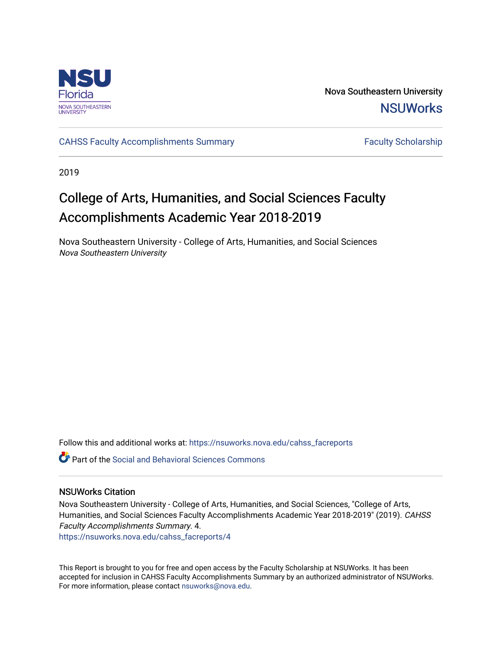

Nova Southeastern University **NSUWorks** 

[CAHSS Faculty Accomplishments Summary](https://nsuworks.nova.edu/cahss_facreports) Faculty Scholarship

2019

# College of Arts, Humanities, and Social Sciences Faculty Accomplishments Academic Year 2018-2019

Nova Southeastern University - College of Arts, Humanities, and Social Sciences Nova Southeastern University

Follow this and additional works at: [https://nsuworks.nova.edu/cahss\\_facreports](https://nsuworks.nova.edu/cahss_facreports?utm_source=nsuworks.nova.edu%2Fcahss_facreports%2F4&utm_medium=PDF&utm_campaign=PDFCoverPages) 

**P** Part of the Social and Behavioral Sciences Commons

#### NSUWorks Citation

Nova Southeastern University - College of Arts, Humanities, and Social Sciences, "College of Arts, Humanities, and Social Sciences Faculty Accomplishments Academic Year 2018-2019" (2019). CAHSS Faculty Accomplishments Summary. 4.

[https://nsuworks.nova.edu/cahss\\_facreports/4](https://nsuworks.nova.edu/cahss_facreports/4?utm_source=nsuworks.nova.edu%2Fcahss_facreports%2F4&utm_medium=PDF&utm_campaign=PDFCoverPages)

This Report is brought to you for free and open access by the Faculty Scholarship at NSUWorks. It has been accepted for inclusion in CAHSS Faculty Accomplishments Summary by an authorized administrator of NSUWorks. For more information, please contact [nsuworks@nova.edu.](mailto:nsuworks@nova.edu)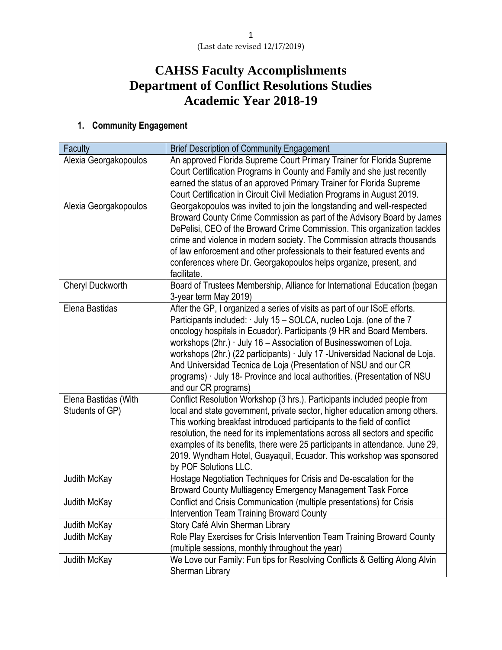# **CAHSS Faculty Accomplishments Department of Conflict Resolutions Studies Academic Year 2018-19**

## **1. Community Engagement**

| <b>Faculty</b>        | <b>Brief Description of Community Engagement</b>                             |
|-----------------------|------------------------------------------------------------------------------|
| Alexia Georgakopoulos | An approved Florida Supreme Court Primary Trainer for Florida Supreme        |
|                       | Court Certification Programs in County and Family and she just recently      |
|                       | earned the status of an approved Primary Trainer for Florida Supreme         |
|                       | Court Certification in Circuit Civil Mediation Programs in August 2019.      |
| Alexia Georgakopoulos | Georgakopoulos was invited to join the longstanding and well-respected       |
|                       | Broward County Crime Commission as part of the Advisory Board by James       |
|                       | DePelisi, CEO of the Broward Crime Commission. This organization tackles     |
|                       | crime and violence in modern society. The Commission attracts thousands      |
|                       | of law enforcement and other professionals to their featured events and      |
|                       | conferences where Dr. Georgakopoulos helps organize, present, and            |
|                       | facilitate.                                                                  |
| Cheryl Duckworth      | Board of Trustees Membership, Alliance for International Education (began    |
|                       | 3-year term May 2019)                                                        |
| Elena Bastidas        | After the GP, I organized a series of visits as part of our ISoE efforts.    |
|                       | Participants included: July 15 - SOLCA, nucleo Loja. (one of the 7           |
|                       | oncology hospitals in Ecuador). Participants (9 HR and Board Members.        |
|                       | workshops (2hr.) July 16 - Association of Businesswomen of Loja.             |
|                       | workshops (2hr.) (22 participants) July 17 - Universidad Nacional de Loja.   |
|                       | And Universidad Tecnica de Loja (Presentation of NSU and our CR              |
|                       | programs) July 18- Province and local authorities. (Presentation of NSU      |
|                       | and our CR programs)                                                         |
| Elena Bastidas (With  | Conflict Resolution Workshop (3 hrs.). Participants included people from     |
| Students of GP)       | local and state government, private sector, higher education among others.   |
|                       | This working breakfast introduced participants to the field of conflict      |
|                       | resolution, the need for its implementations across all sectors and specific |
|                       | examples of its benefits, there were 25 participants in attendance. June 29, |
|                       | 2019. Wyndham Hotel, Guayaquil, Ecuador. This workshop was sponsored         |
|                       | by POF Solutions LLC.                                                        |
| Judith McKay          | Hostage Negotiation Techniques for Crisis and De-escalation for the          |
|                       | Broward County Multiagency Emergency Management Task Force                   |
| Judith McKay          | Conflict and Crisis Communication (multiple presentations) for Crisis        |
|                       | Intervention Team Training Broward County                                    |
| Judith McKay          | Story Café Alvin Sherman Library                                             |
| Judith McKay          | Role Play Exercises for Crisis Intervention Team Training Broward County     |
|                       | (multiple sessions, monthly throughout the year)                             |
| Judith McKay          | We Love our Family: Fun tips for Resolving Conflicts & Getting Along Alvin   |
|                       | Sherman Library                                                              |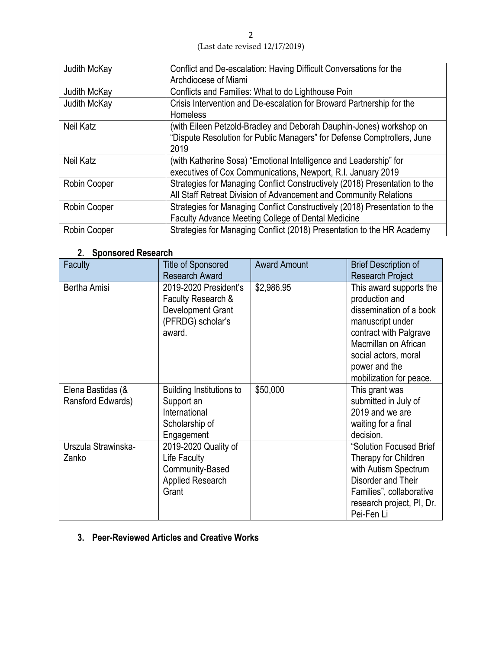| Judith McKay | Conflict and De-escalation: Having Difficult Conversations for the         |
|--------------|----------------------------------------------------------------------------|
|              | Archdiocese of Miami                                                       |
| Judith McKay | Conflicts and Families: What to do Lighthouse Poin                         |
| Judith McKay | Crisis Intervention and De-escalation for Broward Partnership for the      |
|              | Homeless                                                                   |
| Neil Katz    | (with Eileen Petzold-Bradley and Deborah Dauphin-Jones) workshop on        |
|              | "Dispute Resolution for Public Managers" for Defense Comptrollers, June    |
|              | 2019                                                                       |
| Neil Katz    | (with Katherine Sosa) "Emotional Intelligence and Leadership" for          |
|              | executives of Cox Communications, Newport, R.I. January 2019               |
| Robin Cooper | Strategies for Managing Conflict Constructively (2018) Presentation to the |
|              | All Staff Retreat Division of Advancement and Community Relations          |
| Robin Cooper | Strategies for Managing Conflict Constructively (2018) Presentation to the |
|              | Faculty Advance Meeting College of Dental Medicine                         |
| Robin Cooper | Strategies for Managing Conflict (2018) Presentation to the HR Academy     |

## **2. Sponsored Research**

| <b>Faculty</b>                         | <b>Title of Sponsored</b><br><b>Research Award</b>                                              | <b>Award Amount</b> | <b>Brief Description of</b><br><b>Research Project</b>                                                                                                                                                         |
|----------------------------------------|-------------------------------------------------------------------------------------------------|---------------------|----------------------------------------------------------------------------------------------------------------------------------------------------------------------------------------------------------------|
| Bertha Amisi                           | 2019-2020 President's<br>Faculty Research &<br>Development Grant<br>(PFRDG) scholar's<br>award. | \$2,986.95          | This award supports the<br>production and<br>dissemination of a book<br>manuscript under<br>contract with Palgrave<br>Macmillan on African<br>social actors, moral<br>power and the<br>mobilization for peace. |
| Elena Bastidas (&<br>Ransford Edwards) | <b>Building Institutions to</b><br>Support an<br>International<br>Scholarship of<br>Engagement  | \$50,000            | This grant was<br>submitted in July of<br>2019 and we are<br>waiting for a final<br>decision.                                                                                                                  |
| Urszula Strawinska-<br>Zanko           | 2019-2020 Quality of<br>Life Faculty<br>Community-Based<br><b>Applied Research</b><br>Grant     |                     | "Solution Focused Brief<br>Therapy for Children<br>with Autism Spectrum<br>Disorder and Their<br>Families", collaborative<br>research project, PI, Dr.<br>Pei-Fen Li                                           |

### **3. Peer-Reviewed Articles and Creative Works**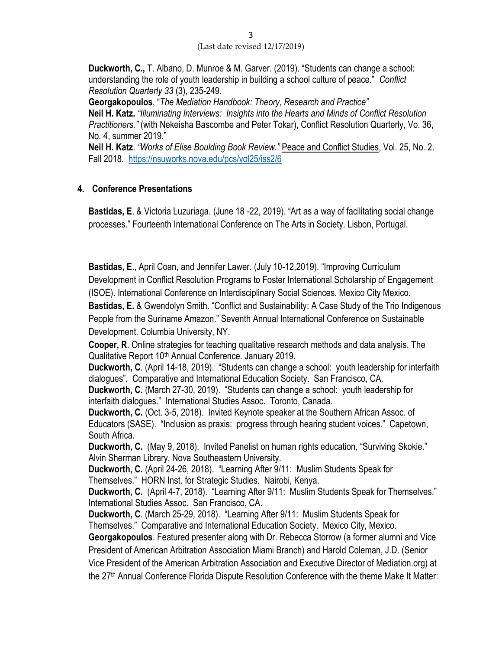**Duckworth, C.,** T. Albano, D. Munroe & M. Garver. (2019). "Students can change a school: understanding the role of youth leadership in building a school culture of peace." *Conflict Resolution Quarterly 33* (3), 235-249.

**Georgakopoulos**, "*The Mediation Handbook: Theory, Research and Practice"* **Neil H. Katz.** *"Illuminating Interviews: Insights into the Hearts and Minds of Conflict Resolution Practitioners."* (with Nekeisha Bascombe and Peter Tokar), Conflict Resolution Quarterly, Vo. 36, No. 4, summer 2019."

**Neil H. Katz**. *"Works of Elise Boulding Book Review."* Peace and Conflict Studies, Vol. 25, No. 2. Fall 2018.<https://nsuworks.nova.edu/pcs/vol25/iss2/6>

### **4. Conference Presentations**

**Bastidas, E**. & Victoria Luzuriaga. (June 18 -22, 2019). "Art as a way of facilitating social change processes." Fourteenth International Conference on The Arts in Society. Lisbon, Portugal.

**Bastidas, E**., April Coan, and Jennifer Lawer. (July 10-12,2019). "Improving Curriculum Development in Conflict Resolution Programs to Foster International Scholarship of Engagement (ISOE). International Conference on Interdisciplinary Social Sciences. Mexico City Mexico. **Bastidas, E.** & Gwendolyn Smith. "Conflict and Sustainability: A Case Study of the Trio Indigenous People from the Suriname Amazon." Seventh Annual International Conference on Sustainable Development. Columbia University, NY.

**Cooper, R**. Online strategies for teaching qualitative research methods and data analysis. The Qualitative Report 10<sup>th</sup> Annual Conference. January 2019.

**Duckworth, C**. (April 14-18, 2019). "Students can change a school: youth leadership for interfaith dialogues". Comparative and International Education Society. San Francisco, CA.

**Duckworth, C.** (March 27-30, 2019). "Students can change a school: youth leadership for interfaith dialogues." International Studies Assoc. Toronto, Canada.

**Duckworth, C.** (Oct. 3-5, 2018). Invited Keynote speaker at the Southern African Assoc. of Educators (SASE). "Inclusion as praxis: progress through hearing student voices." Capetown, South Africa.

**Duckworth, C.** (May 9, 2018). Invited Panelist on human rights education, "Surviving Skokie." Alvin Sherman Library, Nova Southeastern University.

**Duckworth, C.** (April 24-26, 2018). "Learning After 9/11: Muslim Students Speak for Themselves." HORN Inst. for Strategic Studies. Nairobi, Kenya.

**Duckworth, C.** (April 4-7, 2018). "Learning After 9/11: Muslim Students Speak for Themselves." International Studies Assoc. San Francisco, CA.

**Duckworth, C**. (March 25-29, 2018). "Learning After 9/11: Muslim Students Speak for Themselves." Comparative and International Education Society. Mexico City, Mexico.

**Georgakopoulos**. Featured presenter along with Dr. Rebecca Storrow (a former alumni and Vice President of American Arbitration Association Miami Branch) and Harold Coleman, J.D. (Senior Vice President of the American Arbitration Association and Executive Director of Mediation.org) at the 27th Annual Conference Florida Dispute Resolution Conference with the theme Make It Matter: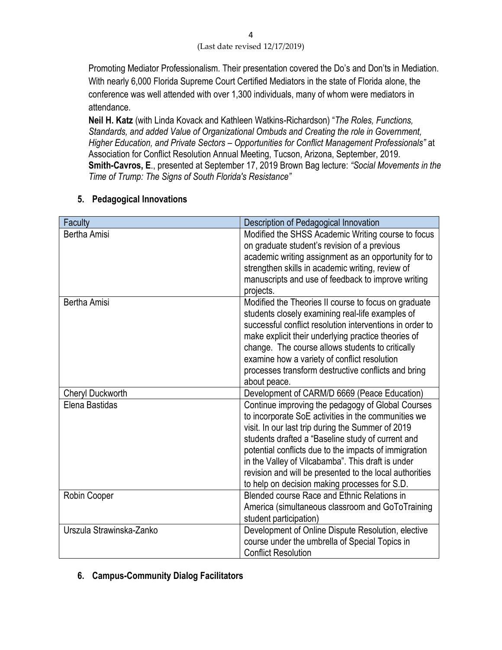Promoting Mediator Professionalism. Their presentation covered the Do's and Don'ts in Mediation. With nearly 6,000 Florida Supreme Court Certified Mediators in the state of Florida alone, the conference was well attended with over 1,300 individuals, many of whom were mediators in attendance.

**Neil H. Katz** (with Linda Kovack and Kathleen Watkins-Richardson) "*The Roles, Functions, Standards, and added Value of Organizational Ombuds and Creating the role in Government, Higher Education, and Private Sectors – Opportunities for Conflict Management Professionals"* at Association for Conflict Resolution Annual Meeting, Tucson, Arizona, September, 2019. **Smith-Cavros, E**., presented at September 17, 2019 Brown Bag lecture: *"Social Movements in the Time of Trump: The Signs of South Florida's Resistance"*

| Faculty                  | Description of Pedagogical Innovation                    |
|--------------------------|----------------------------------------------------------|
| Bertha Amisi             | Modified the SHSS Academic Writing course to focus       |
|                          | on graduate student's revision of a previous             |
|                          | academic writing assignment as an opportunity for to     |
|                          | strengthen skills in academic writing, review of         |
|                          | manuscripts and use of feedback to improve writing       |
|                          | projects.                                                |
| <b>Bertha Amisi</b>      | Modified the Theories II course to focus on graduate     |
|                          | students closely examining real-life examples of         |
|                          | successful conflict resolution interventions in order to |
|                          | make explicit their underlying practice theories of      |
|                          | change. The course allows students to critically         |
|                          | examine how a variety of conflict resolution             |
|                          | processes transform destructive conflicts and bring      |
|                          | about peace.                                             |
| Cheryl Duckworth         | Development of CARM/D 6669 (Peace Education)             |
| Elena Bastidas           | Continue improving the pedagogy of Global Courses        |
|                          | to incorporate SoE activities in the communities we      |
|                          | visit. In our last trip during the Summer of 2019        |
|                          | students drafted a "Baseline study of current and        |
|                          | potential conflicts due to the impacts of immigration    |
|                          | in the Valley of Vilcabamba". This draft is under        |
|                          | revision and will be presented to the local authorities  |
|                          | to help on decision making processes for S.D.            |
| Robin Cooper             | Blended course Race and Ethnic Relations in              |
|                          | America (simultaneous classroom and GoToTraining         |
|                          | student participation)                                   |
| Urszula Strawinska-Zanko | Development of Online Dispute Resolution, elective       |
|                          | course under the umbrella of Special Topics in           |
|                          | <b>Conflict Resolution</b>                               |

### **5. Pedagogical Innovations**

### **6. Campus-Community Dialog Facilitators**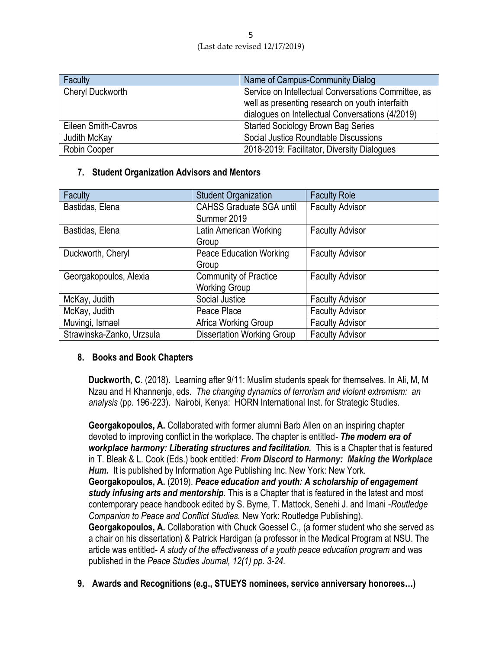| Faculty                 | Name of Campus-Community Dialog                     |  |
|-------------------------|-----------------------------------------------------|--|
| <b>Cheryl Duckworth</b> | Service on Intellectual Conversations Committee, as |  |
|                         | well as presenting research on youth interfaith     |  |
|                         | dialogues on Intellectual Conversations (4/2019)    |  |
| Eileen Smith-Cavros     | <b>Started Sociology Brown Bag Series</b>           |  |
| Judith McKay            | Social Justice Roundtable Discussions               |  |
| Robin Cooper            | 2018-2019: Facilitator, Diversity Dialogues         |  |

### **7. Student Organization Advisors and Mentors**

| Faculty                   | <b>Student Organization</b>       | <b>Faculty Role</b>    |  |
|---------------------------|-----------------------------------|------------------------|--|
| Bastidas, Elena           | <b>CAHSS Graduate SGA until</b>   | <b>Faculty Advisor</b> |  |
|                           | Summer 2019                       |                        |  |
| Bastidas, Elena           | Latin American Working            | <b>Faculty Advisor</b> |  |
|                           | Group                             |                        |  |
| Duckworth, Cheryl         | <b>Peace Education Working</b>    | <b>Faculty Advisor</b> |  |
|                           | Group                             |                        |  |
| Georgakopoulos, Alexia    | <b>Community of Practice</b>      | <b>Faculty Advisor</b> |  |
|                           | <b>Working Group</b>              |                        |  |
| McKay, Judith             | Social Justice                    | <b>Faculty Advisor</b> |  |
| McKay, Judith             | Peace Place                       | <b>Faculty Advisor</b> |  |
| Muvingi, Ismael           | Africa Working Group              | <b>Faculty Advisor</b> |  |
| Strawinska-Zanko, Urzsula | <b>Dissertation Working Group</b> | <b>Faculty Advisor</b> |  |

### **8. Books and Book Chapters**

**Duckworth, C**. (2018). Learning after 9/11: Muslim students speak for themselves. In Ali, M, M Nzau and H Khannenje, eds. *The changing dynamics of terrorism and violent extremism: an analysis* (pp. 196-223). Nairobi, Kenya: HORN International Inst. for Strategic Studies.

**Georgakopoulos, A.** Collaborated with former alumni Barb Allen on an inspiring chapter devoted to improving conflict in the workplace. The chapter is entitled*- The modern era of workplace harmony: Liberating structures and facilitation.* This is a Chapter that is featured in T. Bleak & L. Cook (Eds.) book entitled: *From Discord to Harmony: Making the Workplace Hum.* It is published by Information Age Publishing Inc. New York: New York. **Georgakopoulos, A.** (2019). *Peace education and youth: A scholarship of engagement study infusing arts and mentorship.* This is a Chapter that is featured in the latest and most contemporary peace handbook edited by S. Byrne, T. Mattock, Senehi J. and Imani -*Routledge Companion to Peace and Conflict Studies.* New York: Routledge Publishing). **Georgakopoulos, A.** Collaboration with Chuck Goessel C., (a former student who she served as a chair on his dissertation) & Patrick Hardigan (a professor in the Medical Program at NSU. The article was entitled- *A study of the effectiveness of a youth peace education program* and was published in the *Peace Studies Journal, 12(1) pp. 3-24.*

**9. Awards and Recognitions (e.g., STUEYS nominees, service anniversary honorees…)**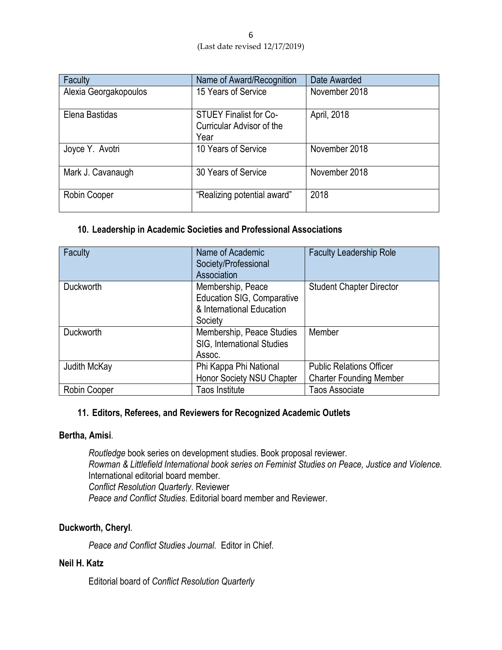| Faculty               | Name of Award/Recognition                                          | Date Awarded  |
|-----------------------|--------------------------------------------------------------------|---------------|
| Alexia Georgakopoulos | 15 Years of Service                                                | November 2018 |
| Elena Bastidas        | <b>STUEY Finalist for Co-</b><br>Curricular Advisor of the<br>Year | April, 2018   |
| Joyce Y. Avotri       | 10 Years of Service                                                | November 2018 |
| Mark J. Cavanaugh     | 30 Years of Service                                                | November 2018 |
| Robin Cooper          | "Realizing potential award"                                        | 2018          |

### **10. Leadership in Academic Societies and Professional Associations**

| Faculty          | <b>Faculty Leadership Role</b><br>Name of Academic<br>Society/Professional<br>Association      |                                                                   |  |
|------------------|------------------------------------------------------------------------------------------------|-------------------------------------------------------------------|--|
| <b>Duckworth</b> | Membership, Peace<br><b>Education SIG, Comparative</b><br>& International Education<br>Society | <b>Student Chapter Director</b>                                   |  |
| <b>Duckworth</b> | Membership, Peace Studies<br>SIG, International Studies<br>Assoc.                              | Member                                                            |  |
| Judith McKay     | Phi Kappa Phi National<br>Honor Society NSU Chapter                                            | <b>Public Relations Officer</b><br><b>Charter Founding Member</b> |  |
| Robin Cooper     | Taos Institute                                                                                 | Taos Associate                                                    |  |

### **11. Editors, Referees, and Reviewers for Recognized Academic Outlets**

### **Bertha, Amisi**.

*Routledge* book series on development studies. Book proposal reviewer. *Rowman & Littlefield International book series on Feminist Studies on Peace, Justice and Violence.*  International editorial board member*. Conflict Resolution Quarterly*. Reviewer *Peace and Conflict Studies*. Editorial board member and Reviewer.

### **Duckworth, Cheryl**.

*Peace and Conflict Studies Journal.* Editor in Chief.

### **Neil H. Katz**

Editorial board of *Conflict Resolution Quarterly*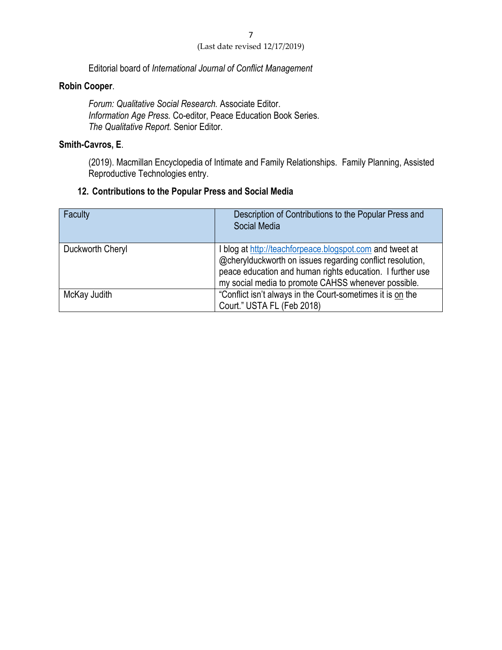Editorial board of *International Journal of Conflict Management*

### **Robin Cooper**.

*Forum: Qualitative Social Research.* Associate Editor. *Information Age Press.* Co-editor, Peace Education Book Series. *The Qualitative Report.* Senior Editor.

### **Smith-Cavros, E**.

(2019). Macmillan Encyclopedia of Intimate and Family Relationships. Family Planning, Assisted Reproductive Technologies entry.

### **12. Contributions to the Popular Press and Social Media**

| Faculty          | Description of Contributions to the Popular Press and<br>Social Media                                                                                                                                                                     |
|------------------|-------------------------------------------------------------------------------------------------------------------------------------------------------------------------------------------------------------------------------------------|
| Duckworth Cheryl | I blog at http://teachforpeace.blogspot.com and tweet at<br>@cherylduckworth on issues regarding conflict resolution,<br>peace education and human rights education. I further use<br>my social media to promote CAHSS whenever possible. |
| McKay Judith     | "Conflict isn't always in the Court-sometimes it is on the<br>Court." USTA FL (Feb 2018)                                                                                                                                                  |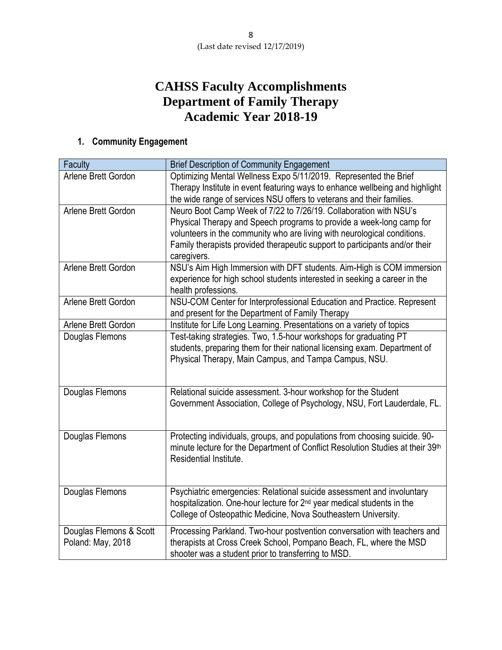## **CAHSS Faculty Accomplishments Department of Family Therapy Academic Year 2018-19**

## **1. Community Engagement**

| Faculty                 | <b>Brief Description of Community Engagement</b>                                           |
|-------------------------|--------------------------------------------------------------------------------------------|
| Arlene Brett Gordon     | Optimizing Mental Wellness Expo 5/11/2019. Represented the Brief                           |
|                         | Therapy Institute in event featuring ways to enhance wellbeing and highlight               |
|                         | the wide range of services NSU offers to veterans and their families.                      |
| Arlene Brett Gordon     | Neuro Boot Camp Week of 7/22 to 7/26/19. Collaboration with NSU's                          |
|                         | Physical Therapy and Speech programs to provide a week-long camp for                       |
|                         | volunteers in the community who are living with neurological conditions.                   |
|                         | Family therapists provided therapeutic support to participants and/or their<br>caregivers. |
| Arlene Brett Gordon     | NSU's Aim High Immersion with DFT students. Aim-High is COM immersion                      |
|                         | experience for high school students interested in seeking a career in the                  |
|                         | health professions.                                                                        |
| Arlene Brett Gordon     | NSU-COM Center for Interprofessional Education and Practice. Represent                     |
|                         | and present for the Department of Family Therapy                                           |
| Arlene Brett Gordon     | Institute for Life Long Learning. Presentations on a variety of topics                     |
| Douglas Flemons         | Test-taking strategies. Two, 1.5-hour workshops for graduating PT                          |
|                         | students, preparing them for their national licensing exam. Department of                  |
|                         | Physical Therapy, Main Campus, and Tampa Campus, NSU.                                      |
|                         |                                                                                            |
| Douglas Flemons         | Relational suicide assessment. 3-hour workshop for the Student                             |
|                         | Government Association, College of Psychology, NSU, Fort Lauderdale, FL.                   |
|                         |                                                                                            |
|                         |                                                                                            |
| Douglas Flemons         | Protecting individuals, groups, and populations from choosing suicide. 90-                 |
|                         | minute lecture for the Department of Conflict Resolution Studies at their 39th             |
|                         | Residential Institute.                                                                     |
|                         |                                                                                            |
| Douglas Flemons         | Psychiatric emergencies: Relational suicide assessment and involuntary                     |
|                         | hospitalization. One-hour lecture for 2 <sup>nd</sup> year medical students in the         |
|                         | College of Osteopathic Medicine, Nova Southeastern University.                             |
| Douglas Flemons & Scott | Processing Parkland. Two-hour postvention conversation with teachers and                   |
| Poland: May, 2018       | therapists at Cross Creek School, Pompano Beach, FL, where the MSD                         |
|                         | shooter was a student prior to transferring to MSD.                                        |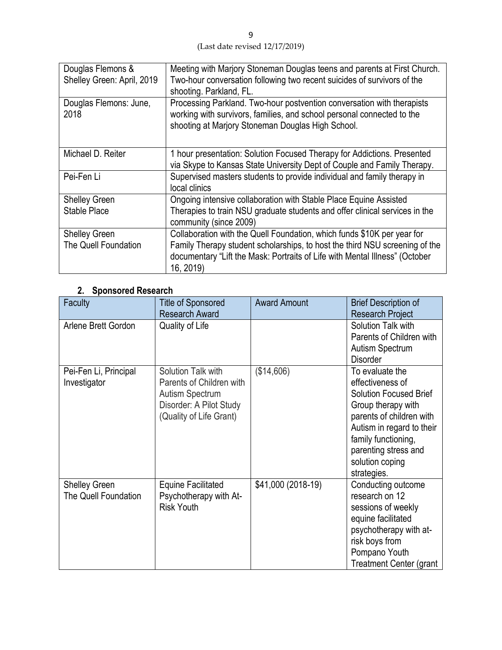| Douglas Flemons &<br>Shelley Green: April, 2019 | Meeting with Marjory Stoneman Douglas teens and parents at First Church.<br>Two-hour conversation following two recent suicides of survivors of the<br>shooting. Parkland, FL.                                                                     |
|-------------------------------------------------|----------------------------------------------------------------------------------------------------------------------------------------------------------------------------------------------------------------------------------------------------|
| Douglas Flemons: June,<br>2018                  | Processing Parkland. Two-hour postvention conversation with therapists<br>working with survivors, families, and school personal connected to the<br>shooting at Marjory Stoneman Douglas High School.                                              |
| Michael D. Reiter                               | 1 hour presentation: Solution Focused Therapy for Addictions. Presented<br>via Skype to Kansas State University Dept of Couple and Family Therapy.                                                                                                 |
| Pei-Fen Li                                      | Supervised masters students to provide individual and family therapy in<br>local clinics                                                                                                                                                           |
| <b>Shelley Green</b><br>Stable Place            | Ongoing intensive collaboration with Stable Place Equine Assisted<br>Therapies to train NSU graduate students and offer clinical services in the<br>community (since 2009)                                                                         |
| <b>Shelley Green</b><br>The Quell Foundation    | Collaboration with the Quell Foundation, which funds \$10K per year for<br>Family Therapy student scholarships, to host the third NSU screening of the<br>documentary "Lift the Mask: Portraits of Life with Mental Illness" (October<br>16, 2019) |

### **2. Sponsored Research**

| Faculty                                      | <b>Title of Sponsored</b><br><b>Research Award</b>                                                                      | <b>Award Amount</b> | <b>Brief Description of</b><br><b>Research Project</b>                                                                                                                                                                               |
|----------------------------------------------|-------------------------------------------------------------------------------------------------------------------------|---------------------|--------------------------------------------------------------------------------------------------------------------------------------------------------------------------------------------------------------------------------------|
| Arlene Brett Gordon                          | Quality of Life                                                                                                         |                     | Solution Talk with<br>Parents of Children with<br><b>Autism Spectrum</b><br><b>Disorder</b>                                                                                                                                          |
| Pei-Fen Li, Principal<br>Investigator        | Solution Talk with<br>Parents of Children with<br>Autism Spectrum<br>Disorder: A Pilot Study<br>(Quality of Life Grant) | (\$14,606)          | To evaluate the<br>effectiveness of<br><b>Solution Focused Brief</b><br>Group therapy with<br>parents of children with<br>Autism in regard to their<br>family functioning,<br>parenting stress and<br>solution coping<br>strategies. |
| <b>Shelley Green</b><br>The Quell Foundation | <b>Equine Facilitated</b><br>Psychotherapy with At-<br><b>Risk Youth</b>                                                | \$41,000 (2018-19)  | Conducting outcome<br>research on 12<br>sessions of weekly<br>equine facilitated<br>psychotherapy with at-<br>risk boys from<br>Pompano Youth<br><b>Treatment Center (grant</b>                                                      |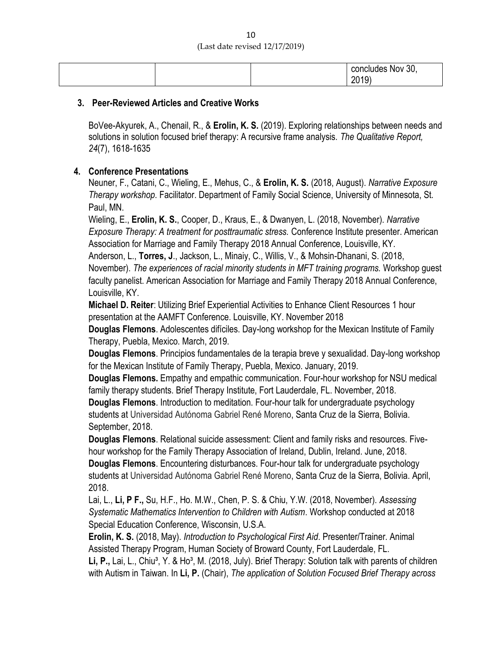|  | concludes Nov 30, |
|--|-------------------|
|  | 2019)             |

#### **3. Peer-Reviewed Articles and Creative Works**

BoVee-Akyurek, A., Chenail, R., & **Erolin, K. S.** (2019). Exploring relationships between needs and solutions in solution focused brief therapy: A recursive frame analysis. *The Qualitative Report, 24*(7), 1618-1635

### **4. Conference Presentations**

Neuner, F., Catani, C., Wieling, E., Mehus, C., & **Erolin, K. S.** (2018, August). *Narrative Exposure Therapy workshop*. Facilitator. Department of Family Social Science, University of Minnesota, St. Paul, MN.

Wieling, E., **Erolin, K. S.**, Cooper, D., Kraus, E., & Dwanyen, L. (2018, November). *Narrative Exposure Therapy: A treatment for posttraumatic stress.* Conference Institute presenter. American Association for Marriage and Family Therapy 2018 Annual Conference, Louisville, KY.

Anderson, L., **Torres, J**., Jackson, L., Minaiy, C., Willis, V., & Mohsin-Dhanani, S. (2018, November). *The experiences of racial minority students in MFT training programs.* Workshop guest faculty panelist. American Association for Marriage and Family Therapy 2018 Annual Conference, Louisville, KY.

**Michael D. Reiter**: Utilizing Brief Experiential Activities to Enhance Client Resources 1 hour presentation at the AAMFT Conference. Louisville, KY. November 2018

**Douglas Flemons**. Adolescentes difíciles. Day-long workshop for the Mexican Institute of Family Therapy, Puebla, Mexico. March, 2019.

**Douglas Flemons**. Principios fundamentales de la terapia breve y sexualidad. Day-long workshop for the Mexican Institute of Family Therapy, Puebla, Mexico. January, 2019.

**Douglas Flemons.** Empathy and empathic communication. Four-hour workshop for NSU medical family therapy students. Brief Therapy Institute, Fort Lauderdale, FL. November, 2018.

**Douglas Flemons**. Introduction to meditation. Four-hour talk for undergraduate psychology students at Universidad Autónoma Gabriel René Moreno, Santa Cruz de la Sierra, Bolivia. September, 2018.

**Douglas Flemons**. Relational suicide assessment: Client and family risks and resources. Fivehour workshop for the Family Therapy Association of Ireland, Dublin, Ireland. June, 2018. **Douglas Flemons**. Encountering disturbances. Four-hour talk for undergraduate psychology students at Universidad Autónoma Gabriel René Moreno, Santa Cruz de la Sierra, Bolivia. April, 2018.

Lai, L., **Li, P F.,** Su, H.F., Ho. M.W., Chen, P. S. & Chiu, Y.W. (2018, November). *Assessing Systematic Mathematics Intervention to Children with Autism*. Workshop conducted at 2018 Special Education Conference, Wisconsin, U.S.A.

**Erolin, K. S.** (2018, May). *Introduction to Psychological First Aid*. Presenter/Trainer. Animal Assisted Therapy Program, Human Society of Broward County, Fort Lauderdale, FL.

Li, P., Lai, L., Chiu<sup>3</sup>, Y. & Ho<sup>3</sup>, M. (2018, July). Brief Therapy: Solution talk with parents of children with Autism in Taiwan. In **Li, P.** (Chair), *The application of Solution Focused Brief Therapy across*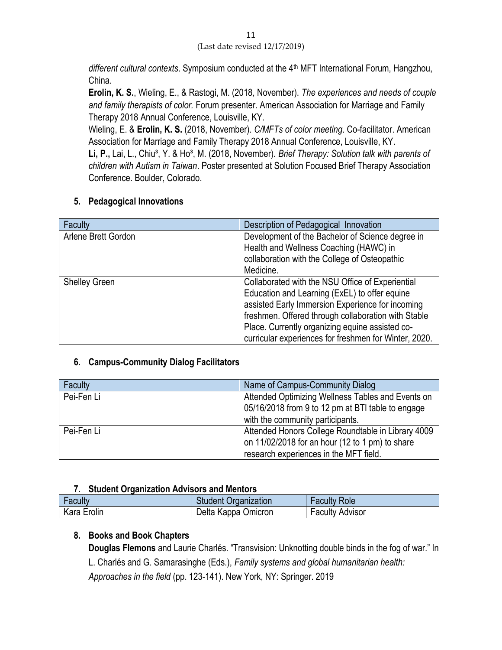different cultural contexts. Symposium conducted at the 4<sup>th</sup> MFT International Forum, Hangzhou, China.

**Erolin, K. S.**, Wieling, E., & Rastogi, M. (2018, November). *The experiences and needs of couple and family therapists of color.* Forum presenter. American Association for Marriage and Family Therapy 2018 Annual Conference, Louisville, KY.

Wieling, E. & **Erolin, K. S.** (2018, November). *C/MFTs of color meeting*. Co-facilitator. American Association for Marriage and Family Therapy 2018 Annual Conference, Louisville, KY.

Li, P., Lai, L., Chiu<sup>3</sup>, Y. & Ho<sup>3</sup>, M. (2018, November). *Brief Therapy: Solution talk with parents of children with Autism in Taiwan*. Poster presented at Solution Focused Brief Therapy Association Conference. Boulder, Colorado.

### **5. Pedagogical Innovations**

| Faculty              | Description of Pedagogical Innovation                 |
|----------------------|-------------------------------------------------------|
| Arlene Brett Gordon  | Development of the Bachelor of Science degree in      |
|                      | Health and Wellness Coaching (HAWC) in                |
|                      | collaboration with the College of Osteopathic         |
|                      | Medicine.                                             |
| <b>Shelley Green</b> | Collaborated with the NSU Office of Experiential      |
|                      | Education and Learning (ExEL) to offer equine         |
|                      | assisted Early Immersion Experience for incoming      |
|                      | freshmen. Offered through collaboration with Stable   |
|                      | Place. Currently organizing equine assisted co-       |
|                      | curricular experiences for freshmen for Winter, 2020. |

### **6. Campus-Community Dialog Facilitators**

| Faculty    | Name of Campus-Community Dialog                                                                        |
|------------|--------------------------------------------------------------------------------------------------------|
| Pei-Fen Li | Attended Optimizing Wellness Tables and Events on<br>05/16/2018 from 9 to 12 pm at BTI table to engage |
|            | with the community participants.                                                                       |
| Pei-Fen Li | Attended Honors College Roundtable in Library 4009                                                     |
|            | on 11/02/2018 for an hour (12 to 1 pm) to share                                                        |
|            | research experiences in the MFT field.                                                                 |

### **7. Student Organization Advisors and Mentors**

| Faculty     | <b>Student Organization</b> | <b>Faculty Role</b>    |
|-------------|-----------------------------|------------------------|
| Kara Erolin | Delta Kappa Omicron         | <b>Faculty Advisor</b> |

### **8. Books and Book Chapters**

**Douglas Flemons** and Laurie Charlés. "Transvision: Unknotting double binds in the fog of war." In L. Charlés and G. Samarasinghe (Eds.), *Family systems and global humanitarian health: Approaches in the field* (pp. 123-141). New York, NY: Springer. 2019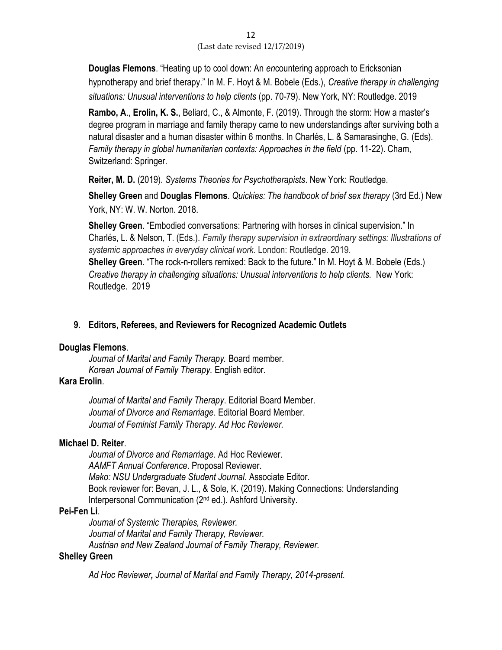**Douglas Flemons**. "Heating up to cool down: An *en*countering approach to Ericksonian hypnotherapy and brief therapy." In M. F. Hoyt & M. Bobele (Eds.), *Creative therapy in challenging situations: Unusual interventions to help clients* (pp. 70-79). New York, NY: Routledge. 2019

**Rambo, A**., **Erolin, K. S.**, Beliard, C., & Almonte, F. (2019). Through the storm: How a master's degree program in marriage and family therapy came to new understandings after surviving both a natural disaster and a human disaster within 6 months. In Charlés, L. & Samarasinghe, G. (Eds). *Family therapy in global humanitarian contexts: Approaches in the field* (pp. 11-22). Cham, Switzerland: Springer.

**Reiter, M. D.** (2019). *Systems Theories for Psychotherapists*. New York: Routledge.

**Shelley Green** and **Douglas Flemons**. *Quickies: The handbook of brief sex therapy* (3rd Ed.) New York, NY: W. W. Norton. 2018.

**Shelley Green**. "Embodied conversations: Partnering with horses in clinical supervision." In Charlés, L. & Nelson, T. (Eds.). *Family therapy supervision in extraordinary settings: Illustrations of systemic approaches in everyday clinical work.* London: Routledge. 2019. **Shelley Green**. "The rock-n-rollers remixed: Back to the future." In M. Hoyt & M. Bobele (Eds.) *Creative therapy in challenging situations: Unusual interventions to help clients.* New York: Routledge. 2019

### **9. Editors, Referees, and Reviewers for Recognized Academic Outlets**

### **Douglas Flemons**.

*Journal of Marital and Family Therapy.* Board member. *Korean Journal of Family Therapy.* English editor.

### **Kara Erolin**.

*Journal of Marital and Family Therapy*. Editorial Board Member. *Journal of Divorce and Remarriage*. Editorial Board Member. *Journal of Feminist Family Therapy. Ad Hoc Reviewer.*

### **Michael D. Reiter**.

*Journal of Divorce and Remarriage*. Ad Hoc Reviewer. *AAMFT Annual Conference*. Proposal Reviewer. *Mako: NSU Undergraduate Student Journal*. Associate Editor. Book reviewer for: Bevan, J. L., & Sole, K. (2019). Making Connections: Understanding Interpersonal Communication (2nd ed.). Ashford University.

### **Pei-Fen Li**.

*Journal of Systemic Therapies, Reviewer. Journal of Marital and Family Therapy, Reviewer. Austrian and New Zealand Journal of Family Therapy, Reviewer.* 

### **Shelley Green**

*Ad Hoc Reviewer, Journal of Marital and Family Therapy, 2014-present.*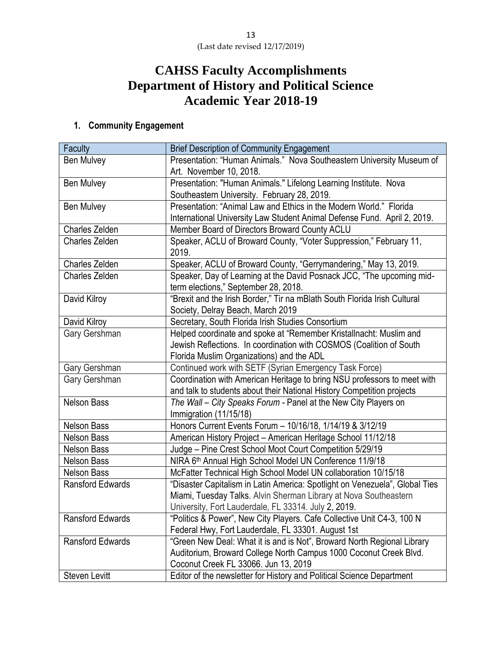# **CAHSS Faculty Accomplishments Department of History and Political Science Academic Year 2018-19**

### **1. Community Engagement**

| Faculty                 | <b>Brief Description of Community Engagement</b>                            |  |
|-------------------------|-----------------------------------------------------------------------------|--|
| <b>Ben Mulvey</b>       | Presentation: "Human Animals." Nova Southeastern University Museum of       |  |
|                         | Art. November 10, 2018.                                                     |  |
| <b>Ben Mulvey</b>       | Presentation: "Human Animals." Lifelong Learning Institute. Nova            |  |
|                         | Southeastern University. February 28, 2019.                                 |  |
| <b>Ben Mulvey</b>       | Presentation: "Animal Law and Ethics in the Modern World." Florida          |  |
|                         | International University Law Student Animal Defense Fund. April 2, 2019.    |  |
| Charles Zelden          | Member Board of Directors Broward County ACLU                               |  |
| <b>Charles Zelden</b>   | Speaker, ACLU of Broward County, "Voter Suppression," February 11,          |  |
|                         | 2019.                                                                       |  |
| Charles Zelden          | Speaker, ACLU of Broward County, "Gerrymandering," May 13, 2019.            |  |
| <b>Charles Zelden</b>   | Speaker, Day of Learning at the David Posnack JCC, "The upcoming mid-       |  |
|                         | term elections," September 28, 2018.                                        |  |
| David Kilroy            | "Brexit and the Irish Border," Tir na mBlath South Florida Irish Cultural   |  |
|                         | Society, Delray Beach, March 2019                                           |  |
| David Kilroy            | Secretary, South Florida Irish Studies Consortium                           |  |
| Gary Gershman           | Helped coordinate and spoke at "Remember Kristallnacht: Muslim and          |  |
|                         | Jewish Reflections. In coordination with COSMOS (Coalition of South         |  |
|                         | Florida Muslim Organizations) and the ADL                                   |  |
| Gary Gershman           | Continued work with SETF (Syrian Emergency Task Force)                      |  |
| Gary Gershman           | Coordination with American Heritage to bring NSU professors to meet with    |  |
|                         | and talk to students about their National History Competition projects      |  |
| <b>Nelson Bass</b>      | The Wall - City Speaks Forum - Panel at the New City Players on             |  |
|                         | Immigration (11/15/18)                                                      |  |
| <b>Nelson Bass</b>      | Honors Current Events Forum - 10/16/18, 1/14/19 & 3/12/19                   |  |
| <b>Nelson Bass</b>      | American History Project - American Heritage School 11/12/18                |  |
| <b>Nelson Bass</b>      | Judge - Pine Crest School Moot Court Competition 5/29/19                    |  |
| <b>Nelson Bass</b>      | NIRA 6th Annual High School Model UN Conference 11/9/18                     |  |
| <b>Nelson Bass</b>      | McFatter Technical High School Model UN collaboration 10/15/18              |  |
| <b>Ransford Edwards</b> | "Disaster Capitalism in Latin America: Spotlight on Venezuela", Global Ties |  |
|                         | Miami, Tuesday Talks. Alvin Sherman Library at Nova Southeastern            |  |
|                         | University, Fort Lauderdale, FL 33314. July 2, 2019.                        |  |
| Ransford Edwards        | "Politics & Power", New City Players. Cafe Collective Unit C4-3, 100 N      |  |
|                         | Federal Hwy, Fort Lauderdale, FL 33301. August 1st                          |  |
| <b>Ransford Edwards</b> | "Green New Deal: What it is and is Not", Broward North Regional Library     |  |
|                         | Auditorium, Broward College North Campus 1000 Coconut Creek Blvd.           |  |
|                         | Coconut Creek FL 33066. Jun 13, 2019                                        |  |
| Steven Levitt           | Editor of the newsletter for History and Political Science Department       |  |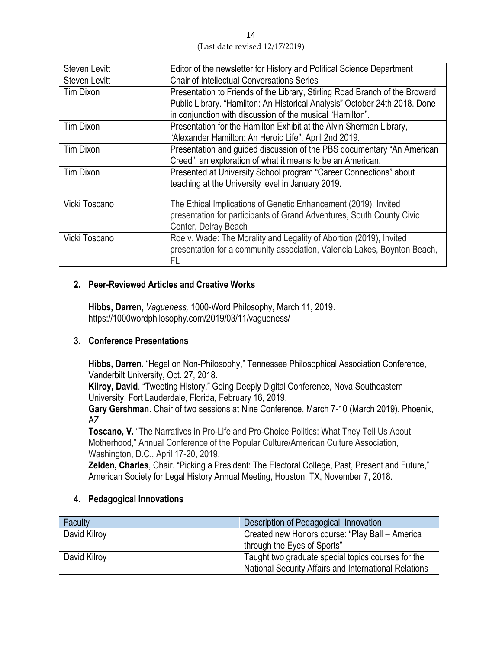| <b>Steven Levitt</b> | Editor of the newsletter for History and Political Science Department                                                                                                                                                  |
|----------------------|------------------------------------------------------------------------------------------------------------------------------------------------------------------------------------------------------------------------|
| <b>Steven Levitt</b> | <b>Chair of Intellectual Conversations Series</b>                                                                                                                                                                      |
| Tim Dixon            | Presentation to Friends of the Library, Stirling Road Branch of the Broward<br>Public Library. "Hamilton: An Historical Analysis" October 24th 2018. Done<br>in conjunction with discussion of the musical "Hamilton". |
| Tim Dixon            | Presentation for the Hamilton Exhibit at the Alvin Sherman Library,<br>"Alexander Hamilton: An Heroic Life". April 2nd 2019.                                                                                           |
| <b>Tim Dixon</b>     | Presentation and guided discussion of the PBS documentary "An American<br>Creed", an exploration of what it means to be an American.                                                                                   |
| Tim Dixon            | Presented at University School program "Career Connections" about<br>teaching at the University level in January 2019.                                                                                                 |
| Vicki Toscano        | The Ethical Implications of Genetic Enhancement (2019), Invited<br>presentation for participants of Grand Adventures, South County Civic<br>Center, Delray Beach                                                       |
| Vicki Toscano        | Roe v. Wade: The Morality and Legality of Abortion (2019), Invited<br>presentation for a community association, Valencia Lakes, Boynton Beach,<br>FL                                                                   |

### **2. Peer-Reviewed Articles and Creative Works**

**Hibbs, Darren**, *Vagueness,* 1000-Word Philosophy, March 11, 2019. https://1000wordphilosophy.com/2019/03/11/vagueness/

### **3. Conference Presentations**

**Hibbs, Darren.** "Hegel on Non-Philosophy," Tennessee Philosophical Association Conference, Vanderbilt University, Oct. 27, 2018.

**Kilroy, David**. "Tweeting History," Going Deeply Digital Conference, Nova Southeastern University, Fort Lauderdale, Florida, February 16, 2019,

**Gary Gershman**. Chair of two sessions at Nine Conference, March 7-10 (March 2019), Phoenix, AZ.

**Toscano, V.** "The Narratives in Pro-Life and Pro-Choice Politics: What They Tell Us About Motherhood," Annual Conference of the Popular Culture/American Culture Association, Washington, D.C., April 17-20, 2019.

**Zelden, Charles**, Chair. "Picking a President: The Electoral College, Past, Present and Future," American Society for Legal History Annual Meeting, Houston, TX, November 7, 2018.

### **4. Pedagogical Innovations**

| Faculty      | Description of Pedagogical Innovation                 |
|--------------|-------------------------------------------------------|
| David Kilroy | Created new Honors course: "Play Ball - America       |
|              | through the Eyes of Sports"                           |
| David Kilroy | Taught two graduate special topics courses for the    |
|              | National Security Affairs and International Relations |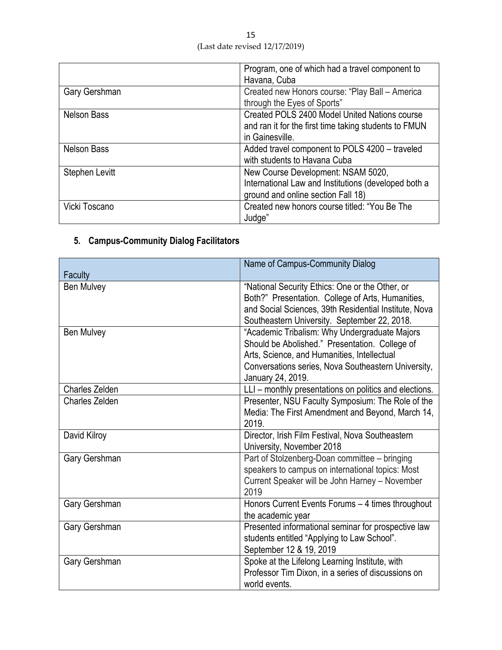|                    | Program, one of which had a travel component to       |
|--------------------|-------------------------------------------------------|
|                    | Havana, Cuba                                          |
| Gary Gershman      | Created new Honors course: "Play Ball - America       |
|                    | through the Eyes of Sports"                           |
| <b>Nelson Bass</b> | Created POLS 2400 Model United Nations course         |
|                    | and ran it for the first time taking students to FMUN |
|                    | in Gainesville.                                       |
| <b>Nelson Bass</b> | Added travel component to POLS 4200 - traveled        |
|                    | with students to Havana Cuba                          |
| Stephen Levitt     | New Course Development: NSAM 5020,                    |
|                    | International Law and Institutions (developed both a  |
|                    | ground and online section Fall 18)                    |
| Vicki Toscano      | Created new honors course titled: "You Be The         |
|                    | Judge"                                                |

## **5. Campus-Community Dialog Facilitators**

|                | Name of Campus-Community Dialog                                                                                                                                                                                            |
|----------------|----------------------------------------------------------------------------------------------------------------------------------------------------------------------------------------------------------------------------|
| Faculty        |                                                                                                                                                                                                                            |
| Ben Mulvey     | "National Security Ethics: One or the Other, or<br>Both?" Presentation. College of Arts, Humanities,<br>and Social Sciences, 39th Residential Institute, Nova<br>Southeastern University. September 22, 2018.              |
| Ben Mulvey     | "Academic Tribalism: Why Undergraduate Majors<br>Should be Abolished." Presentation. College of<br>Arts, Science, and Humanities, Intellectual<br>Conversations series, Nova Southeastern University,<br>January 24, 2019. |
| Charles Zelden | LLI - monthly presentations on politics and elections.                                                                                                                                                                     |
| Charles Zelden | Presenter, NSU Faculty Symposium: The Role of the<br>Media: The First Amendment and Beyond, March 14,<br>2019.                                                                                                             |
| David Kilroy   | Director, Irish Film Festival, Nova Southeastern<br>University, November 2018                                                                                                                                              |
| Gary Gershman  | Part of Stolzenberg-Doan committee - bringing<br>speakers to campus on international topics: Most<br>Current Speaker will be John Harney - November<br>2019                                                                |
| Gary Gershman  | Honors Current Events Forums - 4 times throughout<br>the academic year                                                                                                                                                     |
| Gary Gershman  | Presented informational seminar for prospective law<br>students entitled "Applying to Law School".<br>September 12 & 19, 2019                                                                                              |
| Gary Gershman  | Spoke at the Lifelong Learning Institute, with<br>Professor Tim Dixon, in a series of discussions on<br>world events.                                                                                                      |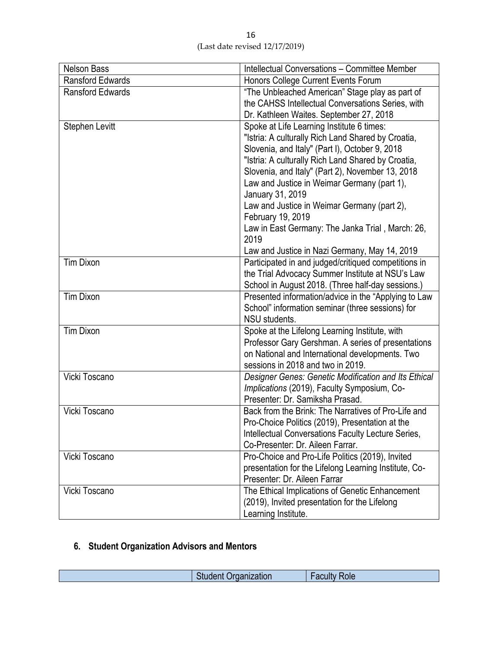| 16                             |
|--------------------------------|
| (Last date revised 12/17/2019) |

| "The Unbleached American" Stage play as part of       |
|-------------------------------------------------------|
| the CAHSS Intellectual Conversations Series, with     |
|                                                       |
|                                                       |
|                                                       |
|                                                       |
|                                                       |
|                                                       |
|                                                       |
|                                                       |
|                                                       |
|                                                       |
| Law in East Germany: The Janka Trial, March: 26,      |
|                                                       |
|                                                       |
| Participated in and judged/critiqued competitions in  |
| the Trial Advocacy Summer Institute at NSU's Law      |
| School in August 2018. (Three half-day sessions.)     |
| Presented information/advice in the "Applying to Law  |
|                                                       |
|                                                       |
|                                                       |
| Professor Gary Gershman. A series of presentations    |
|                                                       |
| Designer Genes: Genetic Modification and Its Ethical  |
|                                                       |
|                                                       |
| Back from the Brink: The Narratives of Pro-Life and   |
|                                                       |
| Intellectual Conversations Faculty Lecture Series,    |
|                                                       |
|                                                       |
| presentation for the Lifelong Learning Institute, Co- |
|                                                       |
| The Ethical Implications of Genetic Enhancement       |
|                                                       |
|                                                       |
| on National and International developments. Two       |

## **6. Student Organization Advisors and Mentors**

| $\mathcal{L}^{\text{max}}_{\text{max}}$ and $\mathcal{L}^{\text{max}}_{\text{max}}$ and $\mathcal{L}^{\text{max}}_{\text{max}}$<br>----<br>OIC<br>1UUI.<br>----<br>_____<br>. |
|-------------------------------------------------------------------------------------------------------------------------------------------------------------------------------|
|-------------------------------------------------------------------------------------------------------------------------------------------------------------------------------|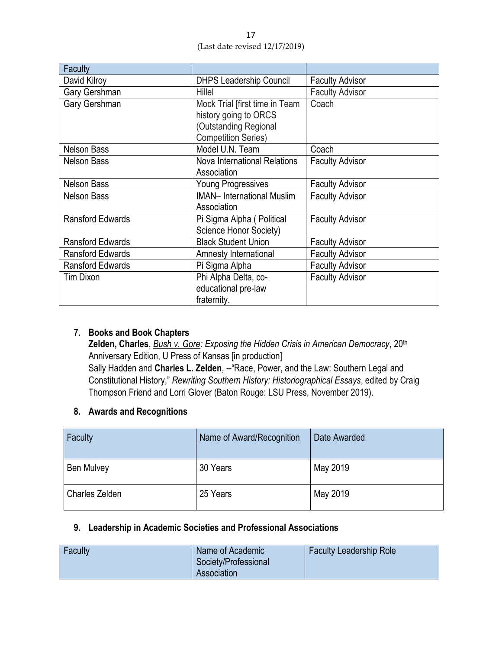| <b>Faculty</b>          |                                                                                                                |                        |
|-------------------------|----------------------------------------------------------------------------------------------------------------|------------------------|
| David Kilroy            | <b>DHPS Leadership Council</b>                                                                                 | <b>Faculty Advisor</b> |
| Gary Gershman           | Hillel                                                                                                         | <b>Faculty Advisor</b> |
| Gary Gershman           | Mock Trial [first time in Team<br>history going to ORCS<br>(Outstanding Regional<br><b>Competition Series)</b> | Coach                  |
| <b>Nelson Bass</b>      | Model U.N. Team                                                                                                | Coach                  |
| <b>Nelson Bass</b>      | Nova International Relations<br>Association                                                                    | <b>Faculty Advisor</b> |
| <b>Nelson Bass</b>      | <b>Young Progressives</b>                                                                                      | <b>Faculty Advisor</b> |
| <b>Nelson Bass</b>      | <b>IMAN- International Muslim</b><br>Association                                                               | <b>Faculty Advisor</b> |
| <b>Ransford Edwards</b> | Pi Sigma Alpha (Political<br>Science Honor Society)                                                            | <b>Faculty Advisor</b> |
| <b>Ransford Edwards</b> | <b>Black Student Union</b>                                                                                     | <b>Faculty Advisor</b> |
| Ransford Edwards        | Amnesty International                                                                                          | <b>Faculty Advisor</b> |
| <b>Ransford Edwards</b> | Pi Sigma Alpha                                                                                                 | <b>Faculty Advisor</b> |
| Tim Dixon               | Phi Alpha Delta, co-<br>educational pre-law<br>fraternity.                                                     | <b>Faculty Advisor</b> |

### **7. Books and Book Chapters**

Zelden, Charles, *Bush v. Gore: Exposing the Hidden Crisis in American Democracy*, 20<sup>th</sup> Anniversary Edition, U Press of Kansas [in production] Sally Hadden and **Charles L. Zelden**, --"Race, Power, and the Law: Southern Legal and Constitutional History," *Rewriting Southern History: Historiographical Essays*, edited by Craig Thompson Friend and Lorri Glover (Baton Rouge: LSU Press, November 2019).

### **8. Awards and Recognitions**

| Faculty        | Name of Award/Recognition | Date Awarded |
|----------------|---------------------------|--------------|
| Ben Mulvey     | 30 Years                  | May 2019     |
| Charles Zelden | 25 Years                  | May 2019     |

### **9. Leadership in Academic Societies and Professional Associations**

| Faculty | Name of Academic<br>Society/Professional | <b>Faculty Leadership Role</b> |
|---------|------------------------------------------|--------------------------------|
|         | Association                              |                                |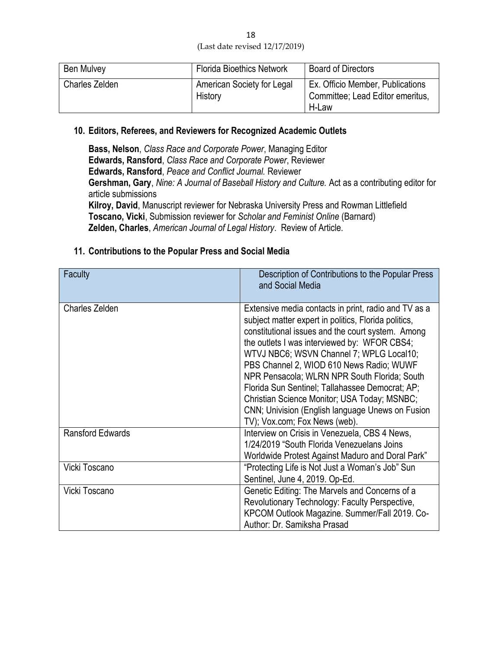18 (Last date revised 12/17/2019)

| <b>Ben Mulvey</b>     | <b>Florida Bioethics Network</b>      | <b>Board of Directors</b>                                                     |
|-----------------------|---------------------------------------|-------------------------------------------------------------------------------|
| <b>Charles Zelden</b> | American Society for Legal<br>History | Ex. Officio Member, Publications<br>Committee; Lead Editor emeritus,<br>H-Law |

### **10. Editors, Referees, and Reviewers for Recognized Academic Outlets**

**Bass, Nelson**, *Class Race and Corporate Power*, Managing Editor **Edwards, Ransford**, *Class Race and Corporate Power*, Reviewer **Edwards, Ransford**, *Peace and Conflict Journal.* Reviewer **Gershman, Gary**, *Nine: A Journal of Baseball History and Culture.* Act as a contributing editor for article submissions **Kilroy, David**, Manuscript reviewer for Nebraska University Press and Rowman Littlefield **Toscano, Vicki**, Submission reviewer for *Scholar and Feminist Online* (Barnard)

**Zelden, Charles**, *American Journal of Legal History*. Review of Article.

### **11. Contributions to the Popular Press and Social Media**

| Faculty                 | Description of Contributions to the Popular Press<br>and Social Media                                                                                                                                                                                                                                                                                                                                                                                                                                                                             |
|-------------------------|---------------------------------------------------------------------------------------------------------------------------------------------------------------------------------------------------------------------------------------------------------------------------------------------------------------------------------------------------------------------------------------------------------------------------------------------------------------------------------------------------------------------------------------------------|
| <b>Charles Zelden</b>   | Extensive media contacts in print, radio and TV as a<br>subject matter expert in politics, Florida politics,<br>constitutional issues and the court system. Among<br>the outlets I was interviewed by: WFOR CBS4;<br>WTVJ NBC6; WSVN Channel 7; WPLG Local10;<br>PBS Channel 2, WIOD 610 News Radio; WUWF<br>NPR Pensacola; WLRN NPR South Florida; South<br>Florida Sun Sentinel; Tallahassee Democrat; AP;<br>Christian Science Monitor; USA Today; MSNBC;<br>CNN; Univision (English language Unews on Fusion<br>TV); Vox.com; Fox News (web). |
| <b>Ransford Edwards</b> | Interview on Crisis in Venezuela, CBS 4 News,<br>1/24/2019 "South Florida Venezuelans Joins<br>Worldwide Protest Against Maduro and Doral Park"                                                                                                                                                                                                                                                                                                                                                                                                   |
| Vicki Toscano           | "Protecting Life is Not Just a Woman's Job" Sun<br>Sentinel, June 4, 2019. Op-Ed.                                                                                                                                                                                                                                                                                                                                                                                                                                                                 |
| Vicki Toscano           | Genetic Editing: The Marvels and Concerns of a<br>Revolutionary Technology: Faculty Perspective,<br>KPCOM Outlook Magazine. Summer/Fall 2019. Co-<br>Author: Dr. Samiksha Prasad                                                                                                                                                                                                                                                                                                                                                                  |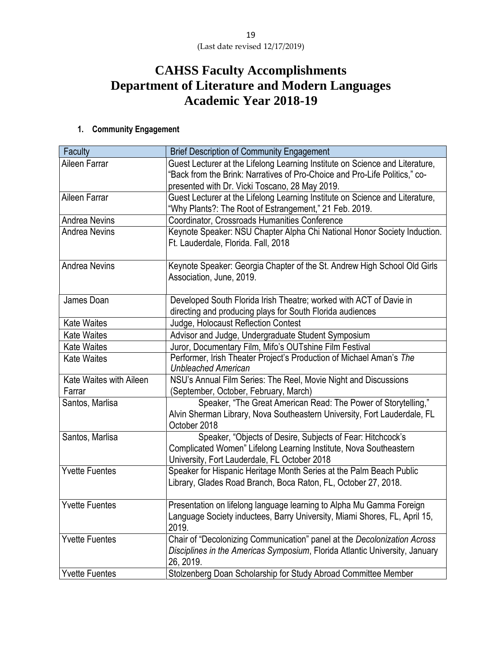## **CAHSS Faculty Accomplishments Department of Literature and Modern Languages Academic Year 2018-19**

### **1. Community Engagement**

| Faculty                           | <b>Brief Description of Community Engagement</b>                                                                                                                                |
|-----------------------------------|---------------------------------------------------------------------------------------------------------------------------------------------------------------------------------|
| Aileen Farrar                     | Guest Lecturer at the Lifelong Learning Institute on Science and Literature,<br>"Back from the Brink: Narratives of Pro-Choice and Pro-Life Politics," co-                      |
|                                   | presented with Dr. Vicki Toscano, 28 May 2019.                                                                                                                                  |
| Aileen Farrar                     | Guest Lecturer at the Lifelong Learning Institute on Science and Literature,<br>"Why Plants?: The Root of Estrangement," 21 Feb. 2019.                                          |
| <b>Andrea Nevins</b>              | Coordinator, Crossroads Humanities Conference                                                                                                                                   |
| <b>Andrea Nevins</b>              | Keynote Speaker: NSU Chapter Alpha Chi National Honor Society Induction.<br>Ft. Lauderdale, Florida. Fall, 2018                                                                 |
| <b>Andrea Nevins</b>              | Keynote Speaker: Georgia Chapter of the St. Andrew High School Old Girls<br>Association, June, 2019.                                                                            |
| James Doan                        | Developed South Florida Irish Theatre; worked with ACT of Davie in<br>directing and producing plays for South Florida audiences                                                 |
| <b>Kate Waites</b>                | Judge, Holocaust Reflection Contest                                                                                                                                             |
| <b>Kate Waites</b>                | Advisor and Judge, Undergraduate Student Symposium                                                                                                                              |
| <b>Kate Waites</b>                | Juror, Documentary Film, Mifo's OUTshine Film Festival                                                                                                                          |
| <b>Kate Waites</b>                | Performer, Irish Theater Project's Production of Michael Aman's The<br><b>Unbleached American</b>                                                                               |
| Kate Waites with Aileen<br>Farrar | NSU's Annual Film Series: The Reel, Movie Night and Discussions<br>(September, October, February, March)                                                                        |
| Santos, Marlisa                   | Speaker, "The Great American Read: The Power of Storytelling,"<br>Alvin Sherman Library, Nova Southeastern University, Fort Lauderdale, FL<br>October 2018                      |
| Santos, Marlisa                   | Speaker, "Objects of Desire, Subjects of Fear: Hitchcock's<br>Complicated Women" Lifelong Learning Institute, Nova Southeastern<br>University, Fort Lauderdale, FL October 2018 |
| <b>Yvette Fuentes</b>             | Speaker for Hispanic Heritage Month Series at the Palm Beach Public<br>Library, Glades Road Branch, Boca Raton, FL, October 27, 2018.                                           |
| <b>Yvette Fuentes</b>             | Presentation on lifelong language learning to Alpha Mu Gamma Foreign<br>Language Society inductees, Barry University, Miami Shores, FL, April 15,<br>2019.                      |
| <b>Yvette Fuentes</b>             | Chair of "Decolonizing Communication" panel at the Decolonization Across<br>Disciplines in the Americas Symposium, Florida Atlantic University, January<br>26, 2019.            |
| <b>Yvette Fuentes</b>             | Stolzenberg Doan Scholarship for Study Abroad Committee Member                                                                                                                  |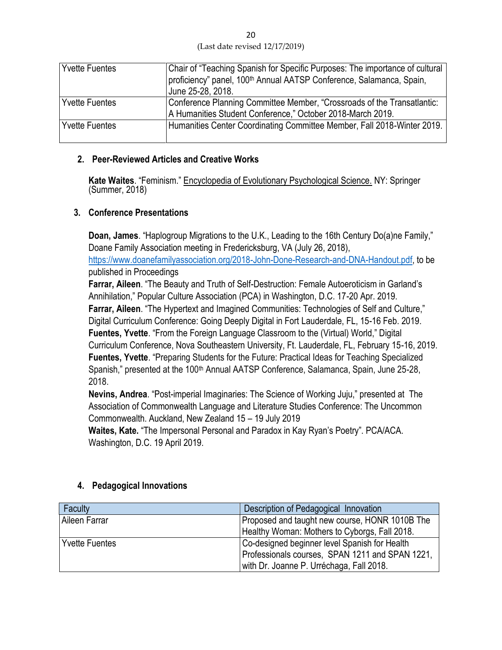| 20                             |
|--------------------------------|
| (Last date revised 12/17/2019) |

| <b>Yvette Fuentes</b> | Chair of "Teaching Spanish for Specific Purposes: The importance of cultural<br>proficiency" panel, 100 <sup>th</sup> Annual AATSP Conference, Salamanca, Spain,<br>June 25-28, 2018. |
|-----------------------|---------------------------------------------------------------------------------------------------------------------------------------------------------------------------------------|
| <b>Yvette Fuentes</b> | Conference Planning Committee Member, "Crossroads of the Transatlantic:<br>A Humanities Student Conference," October 2018-March 2019.                                                 |
|                       |                                                                                                                                                                                       |
| <b>Yvette Fuentes</b> | Humanities Center Coordinating Committee Member, Fall 2018-Winter 2019.                                                                                                               |

### **2. Peer-Reviewed Articles and Creative Works**

**Kate Waites**. "Feminism." Encyclopedia of Evolutionary Psychological Science. NY: Springer (Summer, 2018)

### **3. Conference Presentations**

**Doan, James**. "Haplogroup Migrations to the U.K., Leading to the 16th Century Do(a)ne Family," Doane Family Association meeting in Fredericksburg, VA (July 26, 2018), [https://www.doanefamilyassociation.org/2018-John-Done-Research-and-DNA-Handout.pdf,](https://www.doanefamilyassociation.org/2018-John-Done-Research-and-DNA-Handout.pdf) to be published in Proceedings

**Farrar, Aileen**. "The Beauty and Truth of Self-Destruction: Female Autoeroticism in Garland's Annihilation," Popular Culture Association (PCA) in Washington, D.C. 17-20 Apr. 2019. **Farrar, Aileen**. "The Hypertext and Imagined Communities: Technologies of Self and Culture," Digital Curriculum Conference: Going Deeply Digital in Fort Lauderdale, FL, 15-16 Feb. 2019. **Fuentes, Yvette**. "From the Foreign Language Classroom to the (Virtual) World," Digital Curriculum Conference, Nova Southeastern University, Ft. Lauderdale, FL, February 15-16, 2019. **Fuentes, Yvette**. "Preparing Students for the Future: Practical Ideas for Teaching Specialized Spanish," presented at the 100<sup>th</sup> Annual AATSP Conference, Salamanca, Spain, June 25-28, 2018.

**Nevins, Andrea**. "Post-imperial Imaginaries: The Science of Working Juju," presented at The Association of Commonwealth Language and Literature Studies Conference: The Uncommon Commonwealth. Auckland, New Zealand 15 – 19 July 2019

**Waites, Kate.** "The Impersonal Personal and Paradox in Kay Ryan's Poetry". PCA/ACA. Washington, D.C. 19 April 2019.

| Faculty               | Description of Pedagogical Innovation           |
|-----------------------|-------------------------------------------------|
| Aileen Farrar         | Proposed and taught new course, HONR 1010B The  |
|                       | Healthy Woman: Mothers to Cyborgs, Fall 2018.   |
| <b>Yvette Fuentes</b> | Co-designed beginner level Spanish for Health   |
|                       | Professionals courses, SPAN 1211 and SPAN 1221, |
|                       | with Dr. Joanne P. Urréchaga, Fall 2018.        |

### **4. Pedagogical Innovations**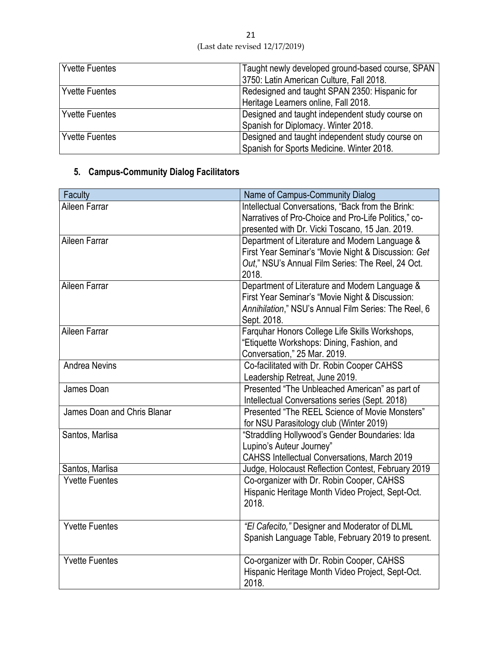| <b>Yvette Fuentes</b> | Taught newly developed ground-based course, SPAN<br>3750: Latin American Culture, Fall 2018. |
|-----------------------|----------------------------------------------------------------------------------------------|
| <b>Yvette Fuentes</b> | Redesigned and taught SPAN 2350: Hispanic for                                                |
|                       | Heritage Learners online, Fall 2018.                                                         |
| <b>Yvette Fuentes</b> | Designed and taught independent study course on                                              |
|                       | Spanish for Diplomacy. Winter 2018.                                                          |
| <b>Yvette Fuentes</b> | Designed and taught independent study course on                                              |
|                       | Spanish for Sports Medicine. Winter 2018.                                                    |

## **5. Campus-Community Dialog Facilitators**

| Faculty                     | Name of Campus-Community Dialog                                                                                                                                          |
|-----------------------------|--------------------------------------------------------------------------------------------------------------------------------------------------------------------------|
| Aileen Farrar               | Intellectual Conversations, "Back from the Brink:<br>Narratives of Pro-Choice and Pro-Life Politics," co-<br>presented with Dr. Vicki Toscano, 15 Jan. 2019.             |
| Aileen Farrar               | Department of Literature and Modern Language &<br>First Year Seminar's "Movie Night & Discussion: Get<br>Out," NSU's Annual Film Series: The Reel, 24 Oct.<br>2018.      |
| Aileen Farrar               | Department of Literature and Modern Language &<br>First Year Seminar's "Movie Night & Discussion:<br>Annihilation," NSU's Annual Film Series: The Reel, 6<br>Sept. 2018. |
| Aileen Farrar               | Farquhar Honors College Life Skills Workshops,<br>"Etiquette Workshops: Dining, Fashion, and<br>Conversation," 25 Mar. 2019.                                             |
| <b>Andrea Nevins</b>        | Co-facilitated with Dr. Robin Cooper CAHSS<br>Leadership Retreat, June 2019.                                                                                             |
| James Doan                  | Presented "The Unbleached American" as part of<br>Intellectual Conversations series (Sept. 2018)                                                                         |
| James Doan and Chris Blanar | Presented "The REEL Science of Movie Monsters"<br>for NSU Parasitology club (Winter 2019)                                                                                |
| Santos, Marlisa             | "Straddling Hollywood's Gender Boundaries: Ida<br>Lupino's Auteur Journey"<br><b>CAHSS Intellectual Conversations, March 2019</b>                                        |
| Santos, Marlisa             | Judge, Holocaust Reflection Contest, February 2019                                                                                                                       |
| <b>Yvette Fuentes</b>       | Co-organizer with Dr. Robin Cooper, CAHSS<br>Hispanic Heritage Month Video Project, Sept-Oct.<br>2018.                                                                   |
| <b>Yvette Fuentes</b>       | "El Cafecito," Designer and Moderator of DLML<br>Spanish Language Table, February 2019 to present.                                                                       |
| <b>Yvette Fuentes</b>       | Co-organizer with Dr. Robin Cooper, CAHSS<br>Hispanic Heritage Month Video Project, Sept-Oct.<br>2018.                                                                   |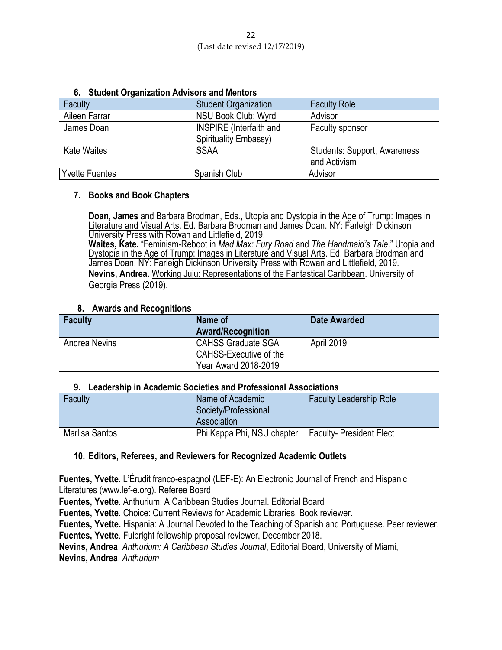|  |  | 6. Student Organization Advisors and Mentors |  |  |
|--|--|----------------------------------------------|--|--|
|--|--|----------------------------------------------|--|--|

| Faculty               | <b>Student Organization</b>                             | <b>Faculty Role</b>                                 |
|-----------------------|---------------------------------------------------------|-----------------------------------------------------|
| Aileen Farrar         | NSU Book Club: Wyrd                                     | Advisor                                             |
| James Doan            | <b>INSPIRE</b> (Interfaith and<br>Spirituality Embassy) | Faculty sponsor                                     |
| <b>Kate Waites</b>    | <b>SSAA</b>                                             | <b>Students: Support, Awareness</b><br>and Activism |
| <b>Yvette Fuentes</b> | Spanish Club                                            | Advisor                                             |

### **7. Books and Book Chapters**

**Doan, James** and Barbara Brodman, Eds., Utopia and Dystopia in the Age of Trump: Images in Literature and Visual Arts. Ed. Barbara Brodman and James Doan. NY: Farleigh Dickinson University Press with Rowan and Littlefield, 2019. **Waites, Kate.** "Feminism-Reboot in *Mad Max: Fury Road* and *The Handmaid's Tale*." Utopia and Dystopia in the Age of Trump: Images in Literature and Visual Arts. Ed. Barbara Brodman and James Doan. NY: Farleigh Dickinson University Press with Rowan and Littlefield, 2019. **Nevins, Andrea.** Working Juju: Representations of the Fantastical Caribbean. University of Georgia Press (2019).

### **8. Awards and Recognitions**

| <b>Faculty</b>       | Name of<br><b>Award/Recognition</b> | Date Awarded |
|----------------------|-------------------------------------|--------------|
| <b>Andrea Nevins</b> | <b>CAHSS Graduate SGA</b>           | April 2019   |
|                      | CAHSS-Executive of the              |              |
|                      | Year Award 2018-2019                |              |

### **9. Leadership in Academic Societies and Professional Associations**

| Faculty        | Name of Academic<br>Society/Professional<br>Association | <b>Faculty Leadership Role</b> |
|----------------|---------------------------------------------------------|--------------------------------|
| Marlisa Santos | Phi Kappa Phi, NSU chapter                              | <b>Faculty-President Elect</b> |

### **10. Editors, Referees, and Reviewers for Recognized Academic Outlets**

**Fuentes, Yvette**. L'Érudit franco-espagnol (LEF-E): An Electronic Journal of French and Hispanic Literatures (www.lef-e.org). Referee Board

**Fuentes, Yvette**. Anthurium: A Caribbean Studies Journal. Editorial Board

**Fuentes, Yvette**. Choice: Current Reviews for Academic Libraries. Book reviewer.

**Fuentes, Yvette.** Hispania: A Journal Devoted to the Teaching of Spanish and Portuguese. Peer reviewer.

**Fuentes, Yvette**. Fulbright fellowship proposal reviewer, December 2018.

**Nevins, Andrea**. *Anthurium: A Caribbean Studies Journal*, Editorial Board, University of Miami,

**Nevins, Andrea**. *Anthurium*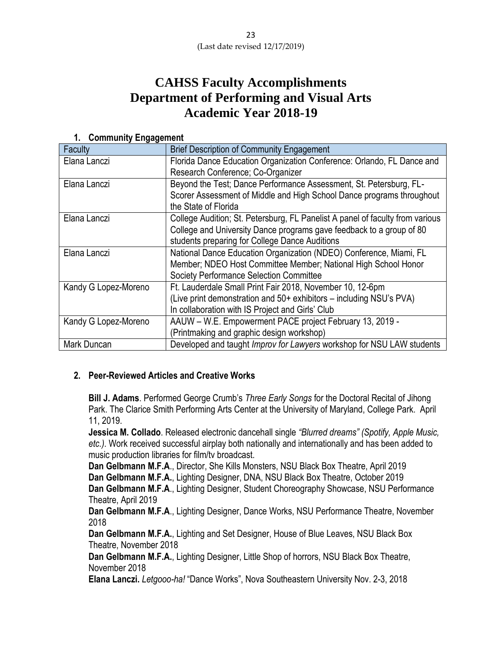## **CAHSS Faculty Accomplishments Department of Performing and Visual Arts Academic Year 2018-19**

| 1. Community Engagement |                                                                               |
|-------------------------|-------------------------------------------------------------------------------|
| Faculty                 | <b>Brief Description of Community Engagement</b>                              |
| Elana Lanczi            | Florida Dance Education Organization Conference: Orlando, FL Dance and        |
|                         | Research Conference; Co-Organizer                                             |
| Elana Lanczi            | Beyond the Test; Dance Performance Assessment, St. Petersburg, FL-            |
|                         | Scorer Assessment of Middle and High School Dance programs throughout         |
|                         | the State of Florida                                                          |
| Elana Lanczi            | College Audition; St. Petersburg, FL Panelist A panel of faculty from various |
|                         | College and University Dance programs gave feedback to a group of 80          |
|                         | students preparing for College Dance Auditions                                |
| Elana Lanczi            | National Dance Education Organization (NDEO) Conference, Miami, FL            |
|                         | Member; NDEO Host Committee Member; National High School Honor                |
|                         | <b>Society Performance Selection Committee</b>                                |
| Kandy G Lopez-Moreno    | Ft. Lauderdale Small Print Fair 2018, November 10, 12-6pm                     |
|                         | (Live print demonstration and 50+ exhibitors – including NSU's PVA)           |
|                         | In collaboration with IS Project and Girls' Club                              |
| Kandy G Lopez-Moreno    | AAUW - W.E. Empowerment PACE project February 13, 2019 -                      |
|                         | (Printmaking and graphic design workshop)                                     |
| Mark Duncan             | Developed and taught <i>Improv for Lawyers</i> workshop for NSU LAW students  |

### **1. Community Engagement**

### **2. Peer-Reviewed Articles and Creative Works**

**Bill J. Adams**. Performed George Crumb's *Three Early Songs* for the Doctoral Recital of Jihong Park. The Clarice Smith Performing Arts Center at the University of Maryland, College Park. April 11, 2019.

**Jessica M. Collado**. Released electronic dancehall single *"Blurred dreams" (Spotify, Apple Music, etc.)*. Work received successful airplay both nationally and internationally and has been added to music production libraries for film/tv broadcast.

**Dan Gelbmann M.F.A**., Director, She Kills Monsters, NSU Black Box Theatre, April 2019 **Dan Gelbmann M.F.A.**, Lighting Designer, DNA, NSU Black Box Theatre, October 2019 **Dan Gelbmann M.F.A**., Lighting Designer, Student Choreography Showcase, NSU Performance Theatre, April 2019

**Dan Gelbmann M.F.A**., Lighting Designer, Dance Works, NSU Performance Theatre, November 2018

**Dan Gelbmann M.F.A.**, Lighting and Set Designer, House of Blue Leaves, NSU Black Box Theatre, November 2018

**Dan Gelbmann M.F.A.**, Lighting Designer, Little Shop of horrors, NSU Black Box Theatre, November 2018

**Elana Lanczi.** *Letgooo-ha!* "Dance Works", Nova Southeastern University Nov. 2-3, 2018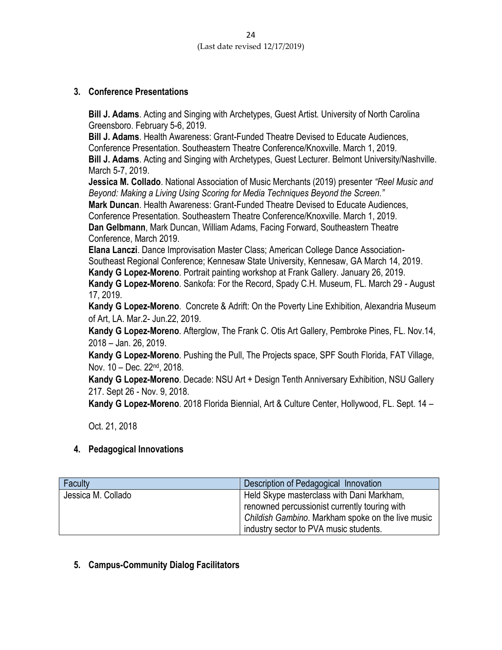### **3. Conference Presentations**

**Bill J. Adams**. Acting and Singing with Archetypes, Guest Artist. University of North Carolina Greensboro. February 5-6, 2019.

**Bill J. Adams**. Health Awareness: Grant-Funded Theatre Devised to Educate Audiences, Conference Presentation. Southeastern Theatre Conference/Knoxville. March 1, 2019.

**Bill J. Adams**. Acting and Singing with Archetypes, Guest Lecturer. Belmont University/Nashville. March 5-7, 2019.

**Jessica M. Collado**. National Association of Music Merchants (2019) presenter *"Reel Music and Beyond: Making a Living Using Scoring for Media Techniques Beyond the Screen."*

**Mark Duncan**. Health Awareness: Grant-Funded Theatre Devised to Educate Audiences,

Conference Presentation. Southeastern Theatre Conference/Knoxville. March 1, 2019.

**Dan Gelbmann**, Mark Duncan, William Adams, Facing Forward, Southeastern Theatre Conference, March 2019.

**Elana Lanczi**. Dance Improvisation Master Class; American College Dance Association-Southeast Regional Conference; Kennesaw State University, Kennesaw, GA March 14, 2019.

**Kandy G Lopez-Moreno**. Portrait painting workshop at Frank Gallery. January 26, 2019. **Kandy G Lopez-Moreno**. Sankofa: For the Record, Spady C.H. Museum, FL. March 29 - August 17, 2019.

**Kandy G Lopez-Moreno**. Concrete & Adrift: On the Poverty Line Exhibition, Alexandria Museum of Art, LA. Mar.2- Jun.22, 2019.

**Kandy G Lopez-Moreno**. Afterglow, The Frank C. Otis Art Gallery, Pembroke Pines, FL. Nov.14, 2018 – Jan. 26, 2019.

**Kandy G Lopez-Moreno**. Pushing the Pull, The Projects space, SPF South Florida, FAT Village, Nov. 10 – Dec. 22nd, 2018.

**Kandy G Lopez-Moreno**. Decade: NSU Art + Design Tenth Anniversary Exhibition, NSU Gallery 217. Sept 26 - Nov. 9, 2018.

**Kandy G Lopez-Moreno**. 2018 Florida Biennial, Art & Culture Center, Hollywood, FL. Sept. 14 –

Oct. 21, 2018

### **4. Pedagogical Innovations**

| Faculty            | Description of Pedagogical Innovation                                                                                                                                                     |
|--------------------|-------------------------------------------------------------------------------------------------------------------------------------------------------------------------------------------|
| Jessica M. Collado | Held Skype masterclass with Dani Markham,<br>renowned percussionist currently touring with<br>Childish Gambino. Markham spoke on the live music<br>industry sector to PVA music students. |

### **5. Campus-Community Dialog Facilitators**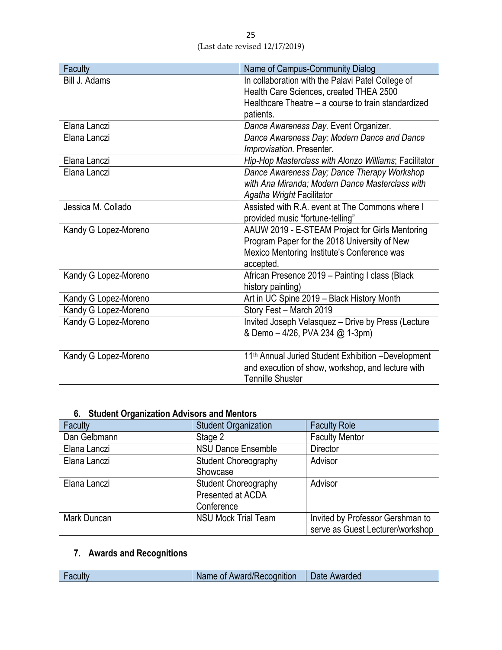| <b>Faculty</b>       | Name of Campus-Community Dialog                                |
|----------------------|----------------------------------------------------------------|
| Bill J. Adams        | In collaboration with the Palavi Patel College of              |
|                      | Health Care Sciences, created THEA 2500                        |
|                      | Healthcare Theatre – a course to train standardized            |
|                      | patients.                                                      |
| Elana Lanczi         | Dance Awareness Day. Event Organizer.                          |
| Elana Lanczi         | Dance Awareness Day; Modern Dance and Dance                    |
|                      | Improvisation. Presenter.                                      |
| Elana Lanczi         | Hip-Hop Masterclass with Alonzo Williams; Facilitator          |
| Elana Lanczi         | Dance Awareness Day; Dance Therapy Workshop                    |
|                      | with Ana Miranda; Modern Dance Masterclass with                |
|                      | Agatha Wright Facilitator                                      |
| Jessica M. Collado   | Assisted with R.A. event at The Commons where I                |
|                      | provided music "fortune-telling"                               |
| Kandy G Lopez-Moreno | AAUW 2019 - E-STEAM Project for Girls Mentoring                |
|                      | Program Paper for the 2018 University of New                   |
|                      | Mexico Mentoring Institute's Conference was                    |
|                      | accepted.                                                      |
| Kandy G Lopez-Moreno | African Presence 2019 - Painting I class (Black                |
|                      | history painting)                                              |
| Kandy G Lopez-Moreno | Art in UC Spine 2019 - Black History Month                     |
| Kandy G Lopez-Moreno | Story Fest - March 2019                                        |
| Kandy G Lopez-Moreno | Invited Joseph Velasquez - Drive by Press (Lecture             |
|                      | & Demo - 4/26, PVA 234 @ 1-3pm)                                |
|                      |                                                                |
| Kandy G Lopez-Moreno | 11 <sup>th</sup> Annual Juried Student Exhibition -Development |
|                      | and execution of show, workshop, and lecture with              |
|                      | <b>Tennille Shuster</b>                                        |

### **6. Student Organization Advisors and Mentors**

| Faculty      | <b>Student Organization</b> | <b>Faculty Role</b>              |
|--------------|-----------------------------|----------------------------------|
| Dan Gelbmann | Stage 2                     | <b>Faculty Mentor</b>            |
| Elana Lanczi | <b>NSU Dance Ensemble</b>   | <b>Director</b>                  |
| Elana Lanczi | <b>Student Choreography</b> | Advisor                          |
|              | Showcase                    |                                  |
| Elana Lanczi | <b>Student Choreography</b> | Advisor                          |
|              | Presented at ACDA           |                                  |
|              | Conference                  |                                  |
| Mark Duncan  | <b>NSU Mock Trial Team</b>  | Invited by Professor Gershman to |
|              |                             | serve as Guest Lecturer/workshop |

## **7. Awards and Recognitions**

| $\overline{\phantom{0}}$ | of Award/Recognition (<br><b>Name</b> | Date<br>Awarded |
|--------------------------|---------------------------------------|-----------------|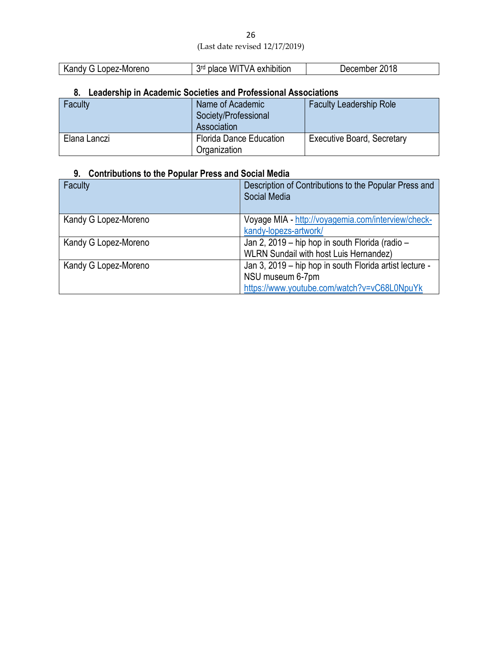| 26                             |  |
|--------------------------------|--|
| (Last date revised 12/17/2019) |  |

| z-Moreno<br>$\sim$ $\sim$ $\sim$<br>$ -$<br>∕ :00،<br>n 2 | <b>Rrd</b><br>wı<br>\ / Д<br>exhibition<br>$\cdots$ | 2018<br>шег |
|-----------------------------------------------------------|-----------------------------------------------------|-------------|
|                                                           |                                                     |             |

### **8. Leadership in Academic Societies and Professional Associations**

| Faculty      | Name of Academic<br>Society/Professional<br>Association | <b>Faculty Leadership Role</b>    |
|--------------|---------------------------------------------------------|-----------------------------------|
| Elana Lanczi | <b>Florida Dance Education</b><br>Organization          | <b>Executive Board, Secretary</b> |

## **9. Contributions to the Popular Press and Social Media**

| Faculty              | Description of Contributions to the Popular Press and<br>Social Media                                                      |
|----------------------|----------------------------------------------------------------------------------------------------------------------------|
| Kandy G Lopez-Moreno | Voyage MIA - http://voyagemia.com/interview/check-<br>kandy-lopezs-artwork/                                                |
| Kandy G Lopez-Moreno | Jan 2, 2019 – hip hop in south Florida (radio –<br><b>WLRN Sundail with host Luis Hernandez)</b>                           |
| Kandy G Lopez-Moreno | Jan 3, 2019 – hip hop in south Florida artist lecture -<br>NSU museum 6-7pm<br>https://www.youtube.com/watch?v=vC68L0NpuYk |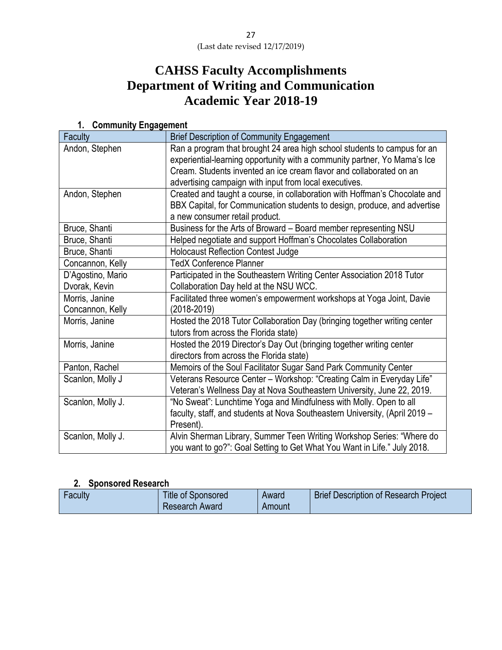# **CAHSS Faculty Accomplishments Department of Writing and Communication Academic Year 2018-19**

| $\sim$<br>Faculty                  | <b>Brief Description of Community Engagement</b>                                                                                                                                                                                                                                       |
|------------------------------------|----------------------------------------------------------------------------------------------------------------------------------------------------------------------------------------------------------------------------------------------------------------------------------------|
| Andon, Stephen                     | Ran a program that brought 24 area high school students to campus for an<br>experiential-learning opportunity with a community partner, Yo Mama's Ice<br>Cream. Students invented an ice cream flavor and collaborated on an<br>advertising campaign with input from local executives. |
| Andon, Stephen                     | Created and taught a course, in collaboration with Hoffman's Chocolate and<br>BBX Capital, for Communication students to design, produce, and advertise<br>a new consumer retail product.                                                                                              |
| Bruce, Shanti                      | Business for the Arts of Broward - Board member representing NSU                                                                                                                                                                                                                       |
| Bruce, Shanti                      | Helped negotiate and support Hoffman's Chocolates Collaboration                                                                                                                                                                                                                        |
| Bruce, Shanti                      | <b>Holocaust Reflection Contest Judge</b>                                                                                                                                                                                                                                              |
| Concannon, Kelly                   | <b>TedX Conference Planner</b>                                                                                                                                                                                                                                                         |
| D'Agostino, Mario<br>Dvorak, Kevin | Participated in the Southeastern Writing Center Association 2018 Tutor<br>Collaboration Day held at the NSU WCC.                                                                                                                                                                       |
| Morris, Janine<br>Concannon, Kelly | Facilitated three women's empowerment workshops at Yoga Joint, Davie<br>(2018-2019)                                                                                                                                                                                                    |
| Morris, Janine                     | Hosted the 2018 Tutor Collaboration Day (bringing together writing center<br>tutors from across the Florida state)                                                                                                                                                                     |
| Morris, Janine                     | Hosted the 2019 Director's Day Out (bringing together writing center<br>directors from across the Florida state)                                                                                                                                                                       |
| Panton, Rachel                     | Memoirs of the Soul Facilitator Sugar Sand Park Community Center                                                                                                                                                                                                                       |
| Scanlon, Molly J                   | Veterans Resource Center - Workshop: "Creating Calm in Everyday Life"<br>Veteran's Wellness Day at Nova Southeastern University, June 22, 2019.                                                                                                                                        |
| Scanlon, Molly J.                  | "No Sweat": Lunchtime Yoga and Mindfulness with Molly. Open to all<br>faculty, staff, and students at Nova Southeastern University, (April 2019 -<br>Present).                                                                                                                         |
| Scanlon, Molly J.                  | Alvin Sherman Library, Summer Teen Writing Workshop Series: "Where do<br>you want to go?": Goal Setting to Get What You Want in Life." July 2018.                                                                                                                                      |

### **1. Community Engagement**

### **2. Sponsored Research**

| <b>Title of Sponsored</b><br>Faculty<br><b>Research Award</b> | <b>Brief Description of Research Project</b><br>Award<br>Amount |  |
|---------------------------------------------------------------|-----------------------------------------------------------------|--|
|---------------------------------------------------------------|-----------------------------------------------------------------|--|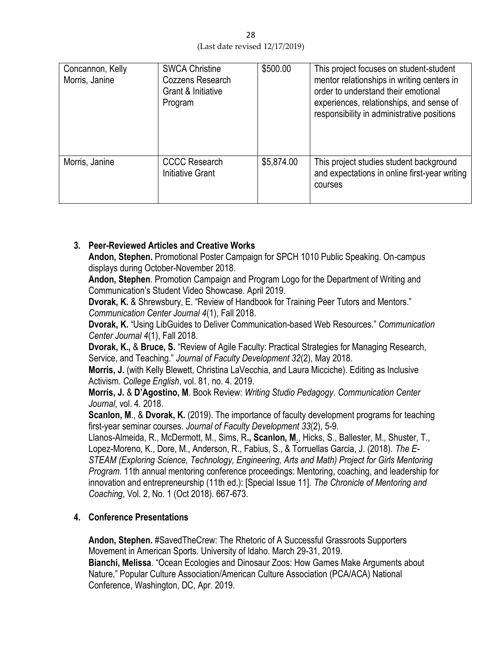| Concannon, Kelly<br>Morris, Janine | <b>SWCA Christine</b><br>Cozzens Research<br>Grant & Initiative<br>Program | \$500.00   | This project focuses on student-student<br>mentor relationships in writing centers in<br>order to understand their emotional<br>experiences, relationships, and sense of<br>responsibility in administrative positions |
|------------------------------------|----------------------------------------------------------------------------|------------|------------------------------------------------------------------------------------------------------------------------------------------------------------------------------------------------------------------------|
| Morris, Janine                     | <b>CCCC Research</b><br>Initiative Grant                                   | \$5,874.00 | This project studies student background<br>and expectations in online first-year writing<br>courses                                                                                                                    |

### **3. Peer-Reviewed Articles and Creative Works**

**Andon, Stephen.** Promotional Poster Campaign for SPCH 1010 Public Speaking. On-campus displays during October-November 2018.

**Andon, Stephen**. Promotion Campaign and Program Logo for the Department of Writing and Communication's Student Video Showcase. April 2019.

**Dvorak, K.** & Shrewsbury, E. "Review of Handbook for Training Peer Tutors and Mentors." *Communication Center Journal 4*(1), Fall 2018.

**Dvorak, K.** "Using LibGuides to Deliver Communication-based Web Resources." *Communication Center Journal 4*(1), Fall 2018.

**Dvorak, K.,** & **Bruce, S.** "Review of Agile Faculty: Practical Strategies for Managing Research, Service, and Teaching." *Journal of Faculty Development 32*(2), May 2018.

**Morris, J.** (with Kelly Blewett, Christina LaVecchia, and Laura Micciche). Editing as Inclusive Activism. *College English*, vol. 81, no. 4. 2019.

**Morris, J.** & **D'Agostino, M**. Book Review: *Writing Studio Pedagogy*. *Communication Center Journal*, vol. 4. 2018.

**Scanlon, M., & Dvorak, K.** (2019). The importance of faculty development programs for teaching first-year seminar courses. *Journal of Faculty Development 33*(2), 5-9.

Llanos-Almeida, R., McDermott, M., Sims, R**., Scanlon, M**., Hicks, S., Ballester, M., Shuster, T., Lopez-Moreno, K., Dore, M., Anderson, R., Fabius, S., & Torruellas Garcia, J. (2018). *The E-STEAM (Exploring Science, Technology, Engineering, Arts and Math) Project for Girls Mentoring Program*. 11th annual mentoring conference proceedings: Mentoring, coaching, and leadership for innovation and entrepreneurship (11th ed.): [Special Issue 11]. *The Chronicle of Mentoring and Coaching*, Vol. 2, No. 1 (Oct 2018). 667-673.

### **4. Conference Presentations**

**Andon, Stephen.** #SavedTheCrew: The Rhetoric of A Successful Grassroots Supporters Movement in American Sports. University of Idaho. March 29-31, 2019. **Bianchi, Melissa**. "Ocean Ecologies and Dinosaur Zoos: How Games Make Arguments about

Nature," Popular Culture Association/American Culture Association (PCA/ACA) National Conference, Washington, DC, Apr. 2019.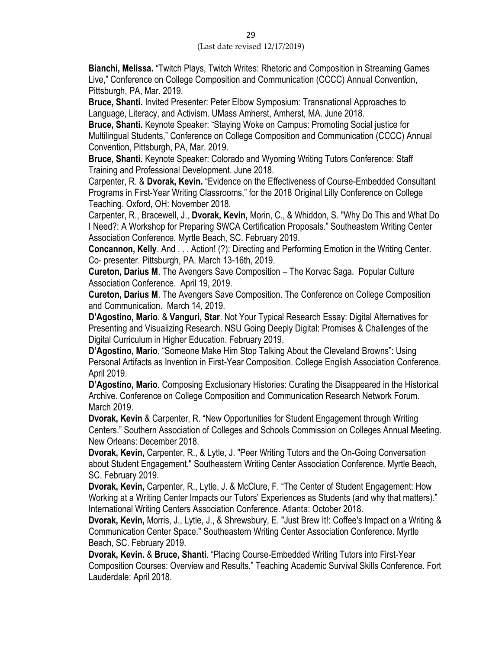**Bianchi, Melissa.** "Twitch Plays, Twitch Writes: Rhetoric and Composition in Streaming Games Live," Conference on College Composition and Communication (CCCC) Annual Convention, Pittsburgh, PA, Mar. 2019.

**Bruce, Shanti.** Invited Presenter: Peter Elbow Symposium: Transnational Approaches to Language, Literacy, and Activism. UMass Amherst, Amherst, MA. June 2018.

**Bruce, Shanti.** Keynote Speaker: "Staying Woke on Campus: Promoting Social justice for Multilingual Students," Conference on College Composition and Communication (CCCC) Annual Convention, Pittsburgh, PA, Mar. 2019.

**Bruce, Shanti.** Keynote Speaker: Colorado and Wyoming Writing Tutors Conference: Staff Training and Professional Development. June 2018.

Carpenter, R. & **Dvorak, Kevin.** "Evidence on the Effectiveness of Course-Embedded Consultant Programs in First-Year Writing Classrooms," for the 2018 Original Lilly Conference on College Teaching. Oxford, OH: November 2018.

Carpenter, R., Bracewell, J., **Dvorak, Kevin,** Morin, C., & Whiddon, S. "Why Do This and What Do I Need?: A Workshop for Preparing SWCA Certification Proposals." Southeastern Writing Center Association Conference. Myrtle Beach, SC. February 2019.

**Concannon, Kelly**. And . . . Action! (?): Directing and Performing Emotion in the Writing Center. Co- presenter. Pittsburgh, PA. March 13-16th, 2019.

**Cureton, Darius M**. The Avengers Save Composition – The Korvac Saga. Popular Culture Association Conference. April 19, 2019.

**Cureton, Darius M**. The Avengers Save Composition. The Conference on College Composition and Communication. March 14, 2019.

**D'Agostino, Mario**. & **Vanguri, Star**. Not Your Typical Research Essay: Digital Alternatives for Presenting and Visualizing Research. NSU Going Deeply Digital: Promises & Challenges of the Digital Curriculum in Higher Education. February 2019.

**D'Agostino, Mario**. "Someone Make Him Stop Talking About the Cleveland Browns": Using Personal Artifacts as Invention in First-Year Composition. College English Association Conference. April 2019.

**D'Agostino, Mario**. Composing Exclusionary Histories: Curating the Disappeared in the Historical Archive. Conference on College Composition and Communication Research Network Forum. March 2019.

**Dvorak, Kevin** & Carpenter, R. "New Opportunities for Student Engagement through Writing Centers." Southern Association of Colleges and Schools Commission on Colleges Annual Meeting. New Orleans: December 2018.

**Dvorak, Kevin,** Carpenter, R., & Lytle, J. "Peer Writing Tutors and the On-Going Conversation about Student Engagement." Southeastern Writing Center Association Conference. Myrtle Beach, SC. February 2019.

**Dvorak, Kevin,** Carpenter, R., Lytle, J. & McClure, F. "The Center of Student Engagement: How Working at a Writing Center Impacts our Tutors' Experiences as Students (and why that matters)." International Writing Centers Association Conference. Atlanta: October 2018.

**Dvorak, Kevin,** Morris, J., Lytle, J., & Shrewsbury, E. "Just Brew It!: Coffee's Impact on a Writing & Communication Center Space." Southeastern Writing Center Association Conference. Myrtle Beach, SC. February 2019.

**Dvorak, Kevin.** & **Bruce, Shanti**. "Placing Course-Embedded Writing Tutors into First-Year Composition Courses: Overview and Results." Teaching Academic Survival Skills Conference. Fort Lauderdale: April 2018.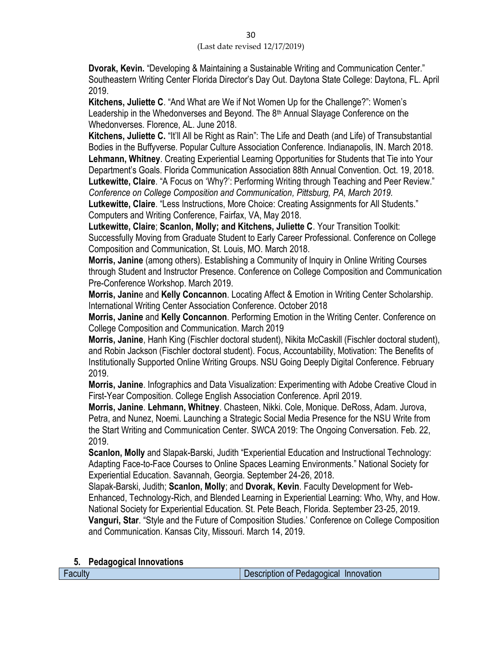**Dvorak, Kevin.** "Developing & Maintaining a Sustainable Writing and Communication Center." Southeastern Writing Center Florida Director's Day Out. Daytona State College: Daytona, FL. April 2019.

**Kitchens, Juliette C**. "And What are We if Not Women Up for the Challenge?": Women's Leadership in the Whedonverses and Beyond. The 8<sup>th</sup> Annual Slayage Conference on the Whedonverses. Florence, AL. June 2018.

**Kitchens, Juliette C.** "It'll All be Right as Rain": The Life and Death (and Life) of Transubstantial Bodies in the Buffyverse. Popular Culture Association Conference. Indianapolis, IN. March 2018. **Lehmann, Whitney**. Creating Experiential Learning Opportunities for Students that Tie into Your Department's Goals. Florida Communication Association 88th Annual Convention. Oct. 19, 2018. **Lutkewitte, Claire**. "A Focus on 'Why?': Performing Writing through Teaching and Peer Review." *Conference on College Composition and Communication, Pittsburg, PA, March 2019.*

**Lutkewitte, Claire**. "Less Instructions, More Choice: Creating Assignments for All Students." Computers and Writing Conference, Fairfax, VA, May 2018.

**Lutkewitte, Claire**; **Scanlon, Molly; and Kitchens, Juliette C**. Your Transition Toolkit: Successfully Moving from Graduate Student to Early Career Professional. Conference on College Composition and Communication, St. Louis, MO. March 2018.

**Morris, Janine** (among others). Establishing a Community of Inquiry in Online Writing Courses through Student and Instructor Presence. Conference on College Composition and Communication Pre-Conference Workshop. March 2019.

**Morris, Janin**e and **Kelly Concannon**. Locating Affect & Emotion in Writing Center Scholarship. International Writing Center Association Conference. October 2018

**Morris, Janine** and **Kelly Concannon**. Performing Emotion in the Writing Center. Conference on College Composition and Communication. March 2019

**Morris, Janine**, Hanh King (Fischler doctoral student), Nikita McCaskill (Fischler doctoral student), and Robin Jackson (Fischler doctoral student). Focus, Accountability, Motivation: The Benefits of Institutionally Supported Online Writing Groups. NSU Going Deeply Digital Conference. February 2019.

**Morris, Janine**. Infographics and Data Visualization: Experimenting with Adobe Creative Cloud in First-Year Composition. College English Association Conference. April 2019.

**Morris, Janine**. **Lehmann, Whitney**. Chasteen, Nikki. Cole, Monique. DeRoss, Adam. Jurova, Petra, and Nunez, Noemi. Launching a Strategic Social Media Presence for the NSU Write from the Start Writing and Communication Center. SWCA 2019: The Ongoing Conversation. Feb. 22, 2019.

**Scanlon, Molly** and Slapak-Barski, Judith "Experiential Education and Instructional Technology: Adapting Face-to-Face Courses to Online Spaces Learning Environments." National Society for Experiential Education. Savannah, Georgia. September 24-26, 2018.

Slapak-Barski, Judith; **Scanlon, Molly**; and **Dvorak, Kevin**. Faculty Development for Web-Enhanced, Technology-Rich, and Blended Learning in Experiential Learning: Who, Why, and How. National Society for Experiential Education. St. Pete Beach, Florida. September 23-25, 2019. **Vanguri, Star**. "Style and the Future of Composition Studies.' Conference on College Composition and Communication. Kansas City, Missouri. March 14, 2019.

### **5. Pedagogical Innovations**

Faculty Description of Pedagogical Innovation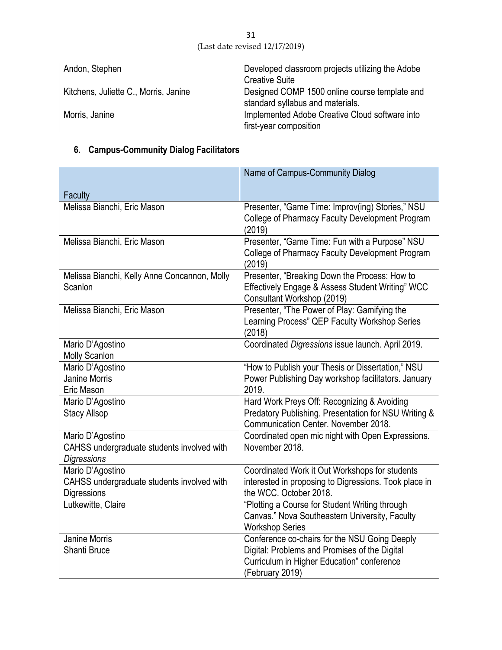| Andon, Stephen                        | Developed classroom projects utilizing the Adobe |
|---------------------------------------|--------------------------------------------------|
|                                       | <b>Creative Suite</b>                            |
| Kitchens, Juliette C., Morris, Janine | Designed COMP 1500 online course template and    |
|                                       | standard syllabus and materials.                 |
| Morris, Janine                        | Implemented Adobe Creative Cloud software into   |
|                                       | first-year composition                           |

# **6. Campus-Community Dialog Facilitators**

|                                              | Name of Campus-Community Dialog                          |
|----------------------------------------------|----------------------------------------------------------|
|                                              |                                                          |
| Faculty                                      |                                                          |
| Melissa Bianchi, Eric Mason                  | Presenter, "Game Time: Improv(ing) Stories," NSU         |
|                                              | College of Pharmacy Faculty Development Program          |
| Melissa Bianchi, Eric Mason                  | (2019)<br>Presenter, "Game Time: Fun with a Purpose" NSU |
|                                              | College of Pharmacy Faculty Development Program          |
|                                              | (2019)                                                   |
| Melissa Bianchi, Kelly Anne Concannon, Molly | Presenter, "Breaking Down the Process: How to            |
| Scanlon                                      | Effectively Engage & Assess Student Writing" WCC         |
|                                              | Consultant Workshop (2019)                               |
| Melissa Bianchi, Eric Mason                  | Presenter, "The Power of Play: Gamifying the             |
|                                              | Learning Process" QEP Faculty Workshop Series            |
|                                              | (2018)                                                   |
| Mario D'Agostino                             | Coordinated Digressions issue launch. April 2019.        |
| <b>Molly Scanlon</b>                         |                                                          |
| Mario D'Agostino                             | "How to Publish your Thesis or Dissertation," NSU        |
| <b>Janine Morris</b>                         | Power Publishing Day workshop facilitators. January      |
| Eric Mason                                   | 2019.                                                    |
| Mario D'Agostino                             | Hard Work Preys Off: Recognizing & Avoiding              |
| <b>Stacy Allsop</b>                          | Predatory Publishing. Presentation for NSU Writing &     |
|                                              | Communication Center. November 2018.                     |
| Mario D'Agostino                             | Coordinated open mic night with Open Expressions.        |
| CAHSS undergraduate students involved with   | November 2018.                                           |
| <b>Digressions</b><br>Mario D'Agostino       | Coordinated Work it Out Workshops for students           |
| CAHSS undergraduate students involved with   | interested in proposing to Digressions. Took place in    |
| Digressions                                  | the WCC. October 2018.                                   |
| Lutkewitte, Claire                           | "Plotting a Course for Student Writing through           |
|                                              | Canvas." Nova Southeastern University, Faculty           |
|                                              | <b>Workshop Series</b>                                   |
| <b>Janine Morris</b>                         | Conference co-chairs for the NSU Going Deeply            |
| Shanti Bruce                                 | Digital: Problems and Promises of the Digital            |
|                                              | Curriculum in Higher Education" conference               |
|                                              | (February 2019)                                          |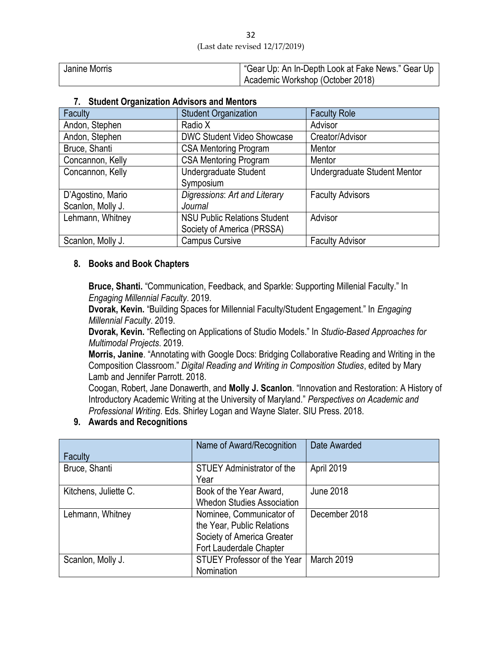| Janine Morris | ' "Gear Up: An In-Depth Look at Fake News." Gear Up |
|---------------|-----------------------------------------------------|
|               | Academic Workshop (October 2018)                    |

### **7. Student Organization Advisors and Mentors**

| Faculty           | <b>Student Organization</b>         | <b>Faculty Role</b>          |
|-------------------|-------------------------------------|------------------------------|
| Andon, Stephen    | Radio X                             | Advisor                      |
| Andon, Stephen    | <b>DWC Student Video Showcase</b>   | Creator/Advisor              |
| Bruce, Shanti     | <b>CSA Mentoring Program</b>        | Mentor                       |
| Concannon, Kelly  | <b>CSA Mentoring Program</b>        | Mentor                       |
| Concannon, Kelly  | <b>Undergraduate Student</b>        | Undergraduate Student Mentor |
|                   | Symposium                           |                              |
| D'Agostino, Mario | Digressions: Art and Literary       | <b>Faculty Advisors</b>      |
| Scanlon, Molly J. | Journal                             |                              |
| Lehmann, Whitney  | <b>NSU Public Relations Student</b> | Advisor                      |
|                   | Society of America (PRSSA)          |                              |
| Scanlon, Molly J. | <b>Campus Cursive</b>               | <b>Faculty Advisor</b>       |

### **8. Books and Book Chapters**

**Bruce, Shanti.** "Communication, Feedback, and Sparkle: Supporting Millenial Faculty." In *Engaging Millennial Faculty*. 2019.

**Dvorak, Kevin.** "Building Spaces for Millennial Faculty/Student Engagement." In *Engaging Millennial Faculty*. 2019.

**Dvorak, Kevin.** "Reflecting on Applications of Studio Models." In *Studio-Based Approaches for Multimodal Projects*. 2019.

**Morris, Janine**. "Annotating with Google Docs: Bridging Collaborative Reading and Writing in the Composition Classroom." *Digital Reading and Writing in Composition Studies*, edited by Mary Lamb and Jennifer Parrott. 2018.

Coogan, Robert, Jane Donawerth, and **Molly J. Scanlon**. "Innovation and Restoration: A History of Introductory Academic Writing at the University of Maryland." *Perspectives on Academic and Professional Writing*. Eds. Shirley Logan and Wayne Slater. SIU Press. 2018.

### **9. Awards and Recognitions**

| Faculty               | Name of Award/Recognition          | Date Awarded     |
|-----------------------|------------------------------------|------------------|
|                       |                                    |                  |
| Bruce, Shanti         | <b>STUEY Administrator of the</b>  | April 2019       |
|                       | Year                               |                  |
| Kitchens, Juliette C. | Book of the Year Award,            | <b>June 2018</b> |
|                       | <b>Whedon Studies Association</b>  |                  |
| Lehmann, Whitney      | Nominee, Communicator of           | December 2018    |
|                       | the Year, Public Relations         |                  |
|                       | Society of America Greater         |                  |
|                       | Fort Lauderdale Chapter            |                  |
| Scanlon, Molly J.     | <b>STUEY Professor of the Year</b> | March 2019       |
|                       | Nomination                         |                  |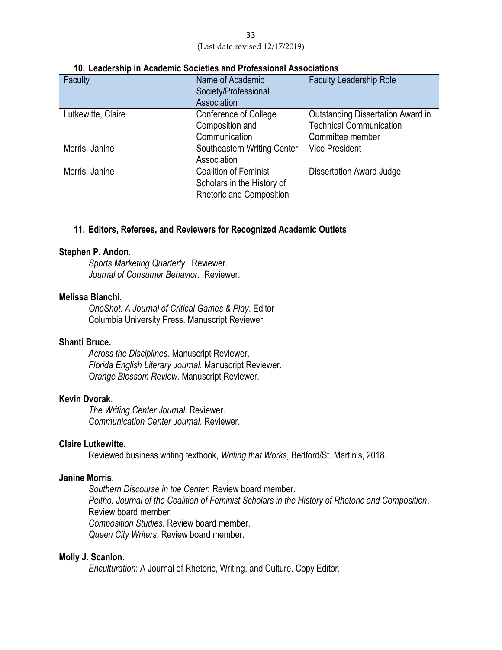| 33                             |  |
|--------------------------------|--|
| (Last date revised 12/17/2019) |  |

| Faculty            | Name of Academic<br>Society/Professional<br>Association | <b>Faculty Leadership Role</b>    |
|--------------------|---------------------------------------------------------|-----------------------------------|
| Lutkewitte, Claire | <b>Conference of College</b>                            | Outstanding Dissertation Award in |
|                    | Composition and                                         | <b>Technical Communication</b>    |
|                    | Communication                                           | Committee member                  |
| Morris, Janine     | Southeastern Writing Center                             | <b>Vice President</b>             |
|                    | Association                                             |                                   |
| Morris, Janine     | <b>Coalition of Feminist</b>                            | <b>Dissertation Award Judge</b>   |
|                    | Scholars in the History of                              |                                   |
|                    | <b>Rhetoric and Composition</b>                         |                                   |

#### **10. Leadership in Academic Societies and Professional Associations**

### **11. Editors, Referees, and Reviewers for Recognized Academic Outlets**

#### **Stephen P. Andon**.

*Sports Marketing Quarterly.* Reviewer. *Journal of Consumer Behavior.* Reviewer.

#### **Melissa Bianchi**.

*OneShot: A Journal of Critical Games & Play*. Editor Columbia University Press. Manuscript Reviewer.

### **Shanti Bruce.**

*Across the Disciplines.* Manuscript Reviewer. *Florida English Literary Journal*. Manuscript Reviewer. *Orange Blossom Review*. Manuscript Reviewer.

### **Kevin Dvorak**.

*The Writing Center Journal*. Reviewer. *Communication Center Journal*. Reviewer.

### **Claire Lutkewitte.**

Reviewed business writing textbook, *Writing that Works*, Bedford/St. Martin's, 2018.

#### **Janine Morris**.

*Southern Discourse in the Center.* Review board member. *Peitho: Journal of the Coalition of Feminist Scholars in the History of Rhetoric and Composition*. Review board member. *Composition Studies*. Review board member. *Queen City Writers*. Review board member.

#### **Molly J**. **Scanlon**.

*Enculturation*: A Journal of Rhetoric, Writing, and Culture. Copy Editor.